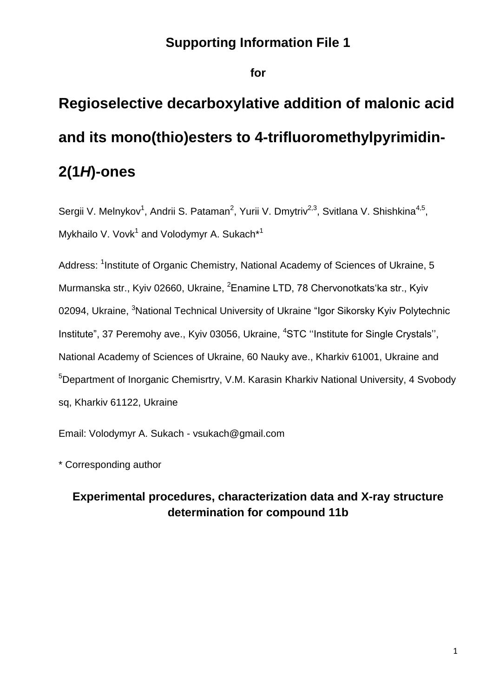# **Supporting Information File 1**

**for**

# **Regioselective decarboxylative addition of malonic acid and its mono(thio)esters to 4-trifluoromethylpyrimidin-2(1***H***)-ones**

Sergii V. Melnykov<sup>1</sup>, Andrii S. Pataman<sup>2</sup>, Yurii V. Dmytriv<sup>2,3</sup>, Svitlana V. Shishkina<sup>4,5</sup>, Mykhailo V. Vovk<sup>1</sup> and Volodymyr A. Sukach<sup>\*1</sup>

Address: <sup>1</sup>Institute of Organic Chemistry, National Academy of Sciences of Ukraine, 5 Murmanska str., Kyiv 02660, Ukraine, <sup>2</sup>Enamine LTD, 78 Chervonotkats'ka str., Kyiv 02094, Ukraine, <sup>3</sup>National Technical University of Ukraine "Igor Sikorsky Kyiv Polytechnic Institute", 37 Peremohy ave., Kyiv 03056, Ukraine, <sup>4</sup>STC "Institute for Single Crystals", National Academy of Sciences of Ukraine, 60 Nauky ave., Kharkiv 61001, Ukraine and <sup>5</sup>Department of Inorganic Chemisrtry, V.M. Karasin Kharkiv National University, 4 Svobody sq, Kharkiv 61122, Ukraine

Email: Volodymyr A. Sukach - vsukach@gmail.com

\* Corresponding author

# **Experimental procedures, characterization data and X-ray structure determination for compound 11b**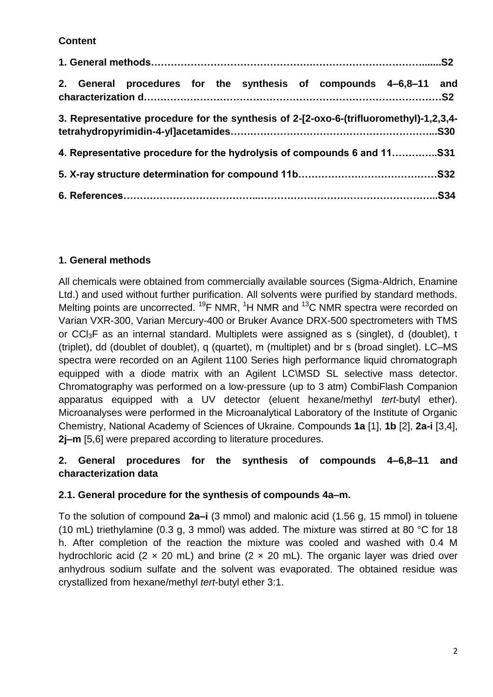# **Content**

| 2. General procedures for the synthesis of compounds 4-6,8-11 and                      |  |
|----------------------------------------------------------------------------------------|--|
| 3. Representative procedure for the synthesis of 2-[2-oxo-6-(trifluoromethyl)-1,2,3,4- |  |
| 4. Representative procedure for the hydrolysis of compounds 6 and 11                   |  |
|                                                                                        |  |
|                                                                                        |  |

# **1. General methods**

All chemicals were obtained from commercially available sources (Sigma-Aldrich, Enamine Ltd.) and used without further purification. All solvents were purified by standard methods. Melting points are uncorrected. <sup>19</sup>F NMR, <sup>1</sup>H NMR and <sup>13</sup>C NMR spectra were recorded on Varian VXR-300, Varian Mercury-400 or Bruker Avance DRX-500 spectrometers with TMS or CCI<sub>3</sub>F as an internal standard. Multiplets were assigned as s (singlet), d (doublet), t (triplet), dd (doublet of doublet), q (quartet), m (multiplet) and br s (broad singlet). LC–MS spectra were recorded on an Agilent 1100 Series high performance liquid chromatograph equipped with a diode matrix with an Agilent LC\MSD SL selective mass detector. Chromatography was performed on a low-pressure (up to 3 atm) CombiFlash Companion apparatus equipped with a UV detector (eluent hexane/methyl *tert*-butyl ether). Microanalyses were performed in the Microanalytical Laboratory of the Institute of Organic Chemistry, National Academy of Sciences of Ukraine. Compounds **1a** [1], **1b** [2], **2a-i** [3,4], **2j–m** [5,6] were prepared according to literature procedures.

# **2. General procedures for the synthesis of compounds 4–6,8–11 and characterization data**

# **2.1. General procedure for the synthesis of compounds 4a–m.**

To the solution of compound **2a–i** (3 mmol) and malonic acid (1.56 g, 15 mmol) in toluene (10 mL) triethylamine (0.3 g, 3 mmol) was added. The mixture was stirred at 80 °C for 18 h. After completion of the reaction the mixture was cooled and washed with 0.4 M hydrochloric acid (2  $\times$  20 mL) and brine (2  $\times$  20 mL). The organic layer was dried over anhydrous sodium sulfate and the solvent was evaporated. The obtained residue was crystallized from hexane/methyl *tert*-butyl ether 3:1.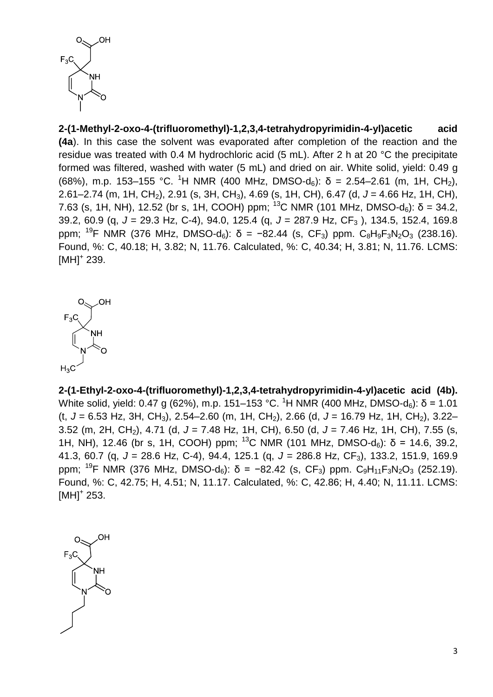

**2-(1-Methyl-2-oxo-4-(trifluoromethyl)-1,2,3,4-tetrahydropyrimidin-4-yl)acetic acid (4a**). In this case the solvent was evaporated after completion of the reaction and the residue was treated with 0.4 M hydrochloric acid (5 mL). After 2 h at 20 °C the precipitate formed was filtered, washed with water (5 mL) and dried on air. White solid, yield: 0.49 g (68%), m.p. 153–155 °C. <sup>1</sup>H NMR (400 MHz, DMSO-d<sub>6</sub>):  $\delta$  = 2.54–2.61 (m, 1H, CH<sub>2</sub>), 2.61–2.74 (m, 1H, CH2), 2.91 (s, 3H, CH3), 4.69 (s, 1H, CH), 6.47 (d, *J* = 4.66 Hz, 1H, CH), 7.63 (s, 1H, NH), 12.52 (br s, 1H, COOH) ppm; <sup>13</sup>C NMR (101 MHz, DMSO-d<sub>6</sub>):  $\delta$  = 34.2, 39.2, 60.9 (q, *J* = 29.3 Hz, C-4), 94.0, 125.4 (q, *J* = 287.9 Hz, CF<sup>3</sup> ), 134.5, 152.4, 169.8 ppm; <sup>19</sup>F NMR (376 MHz, DMSO-d<sub>6</sub>): δ = −82.44 (s, CF<sub>3</sub>) ppm. C<sub>8</sub>H<sub>9</sub>F<sub>3</sub>N<sub>2</sub>O<sub>3</sub> (238.16). Found, %: C, 40.18; H, 3.82; N, 11.76. Calculated, %: C, 40.34; H, 3.81; N, 11.76. LCMS:  $[MH]^{+}$  239.



**2-(1-Ethyl-2-oxo-4-(trifluoromethyl)-1,2,3,4-tetrahydropyrimidin-4-yl)acetic acid (4b).** White solid, yield: 0.47 g (62%), m.p. 151–153 °C. <sup>1</sup>H NMR (400 MHz, DMSO-d<sub>6</sub>): δ = 1.01 (t, *J* = 6.53 Hz, 3H, CH3), 2.54–2.60 (m, 1H, CH2), 2.66 (d, *J* = 16.79 Hz, 1H, CH2), 3.22– 3.52 (m, 2H, CH2), 4.71 (d, *J* = 7.48 Hz, 1H, CH), 6.50 (d, *J* = 7.46 Hz, 1H, CH), 7.55 (s, 1H, NH), 12.46 (br s, 1H, COOH) ppm; <sup>13</sup>C NMR (101 MHz, DMSO-d<sub>6</sub>): δ = 14.6, 39.2, 41.3, 60.7 (q, *J* = 28.6 Hz, C-4), 94.4, 125.1 (q, *J* = 286.8 Hz, CF3), 133.2, 151.9, 169.9 ppm; <sup>19</sup>F NMR (376 MHz, DMSO-d<sub>6</sub>): δ = -82.42 (s, CF<sub>3</sub>) ppm. C<sub>9</sub>H<sub>11</sub>F<sub>3</sub>N<sub>2</sub>O<sub>3</sub> (252.19). Found, %: C, 42.75; H, 4.51; N, 11.17. Calculated, %: C, 42.86; H, 4.40; N, 11.11. LCMS:  $[MH]^{+}$  253.

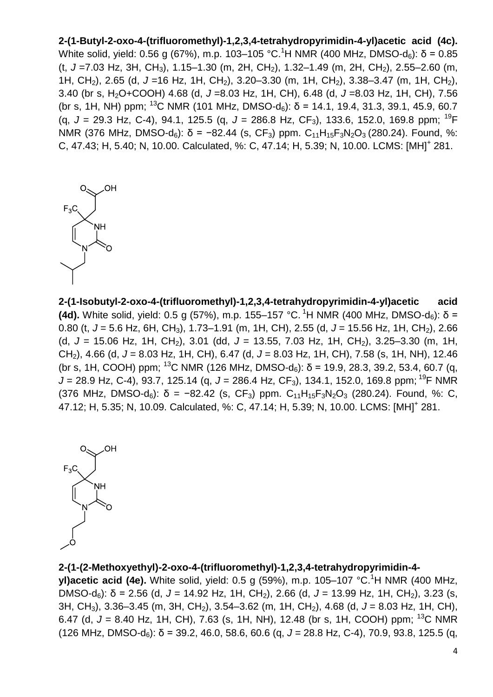**2-(1-Butyl-2-oxo-4-(trifluoromethyl)-1,2,3,4-tetrahydropyrimidin-4-yl)acetic acid (4c).** White solid, yield: 0.56 g (67%), m.p. 103–105 °C.<sup>1</sup>H NMR (400 MHz, DMSO-d<sub>6</sub>): δ = 0.85 (t, *J* =7.03 Hz, 3H, CH3), 1.15–1.30 (m, 2H, CH2), 1.32–1.49 (m, 2H, CH2), 2.55–2.60 (m, 1H, CH<sub>2</sub>), 2.65 (d, J = 16 Hz, 1H, CH<sub>2</sub>), 3.20–3.30 (m, 1H, CH<sub>2</sub>), 3.38–3.47 (m, 1H, CH<sub>2</sub>), 3.40 (br s, H2O+COOH) 4.68 (d, *J* =8.03 Hz, 1H, CH), 6.48 (d, *J* =8.03 Hz, 1H, CH), 7.56 (br s, 1H, NH) ppm; <sup>13</sup>C NMR (101 MHz, DMSO-d<sub>6</sub>):  $\delta$  = 14.1, 19.4, 31.3, 39.1, 45.9, 60.7 (g,  $J = 29.3$  Hz, C-4), 94.1, 125.5 (g,  $J = 286.8$  Hz, CF<sub>3</sub>), 133.6, 152.0, 169.8 ppm; <sup>19</sup>F NMR (376 MHz, DMSO-d<sub>6</sub>): δ = −82.44 (s, CF<sub>3</sub>) ppm. C<sub>11</sub>H<sub>15</sub>F<sub>3</sub>N<sub>2</sub>O<sub>3</sub> (280.24). Found, %: C, 47.43; H, 5.40; N, 10.00. Calculated, %: C, 47.14; H, 5.39; N, 10.00. LCMS: [MH]<sup>+</sup> 281.



**2-(1-Isobutyl-2-oxo-4-(trifluoromethyl)-1,2,3,4-tetrahydropyrimidin-4-yl)acetic acid (4d).** White solid, yield: 0.5 g (57%), m.p. 155–157 °C. <sup>1</sup>H NMR (400 MHz, DMSO-d<sub>6</sub>): δ = 0.80 (t, *J* = 5.6 Hz, 6H, CH3), 1.73–1.91 (m, 1H, CH), 2.55 (d, *J* = 15.56 Hz, 1H, CH2), 2.66 (d, *J* = 15.06 Hz, 1H, CH2), 3.01 (dd, *J* = 13.55, 7.03 Hz, 1H, CH2), 3.25–3.30 (m, 1H, CH2), 4.66 (d, *J* = 8.03 Hz, 1H, CH), 6.47 (d, *J* = 8.03 Hz, 1H, CH), 7.58 (s, 1H, NH), 12.46 (br s, 1H, COOH) ppm; <sup>13</sup>C NMR (126 MHz, DMSO-d<sub>6</sub>):  $\delta$  = 19.9, 28.3, 39.2, 53.4, 60.7 (q, J = 28.9 Hz, C-4), 93.7, 125.14 (q, J = 286.4 Hz, CF<sub>3</sub>), 134.1, 152.0, 169.8 ppm; <sup>19</sup>F NMR (376 MHz, DMSO-d<sub>6</sub>):  $\delta$  = -82.42 (s, CF<sub>3</sub>) ppm. C<sub>11</sub>H<sub>15</sub>F<sub>3</sub>N<sub>2</sub>O<sub>3</sub> (280.24). Found, %: C, 47.12; H, 5.35; N, 10.09. Calculated, %: C, 47.14; H, 5.39; N, 10.00. LCMS: [MH]<sup>+</sup> 281.



#### **2-(1-(2-Methoxyethyl)-2-oxo-4-(trifluoromethyl)-1,2,3,4-tetrahydropyrimidin-4-**

**yl)acetic acid (4e).** White solid, yield: 0.5 g (59%), m.p. 105–107 °C.<sup>1</sup>H NMR (400 MHz, DMSO-d<sub>6</sub>): δ = 2.56 (d, J = 14.92 Hz, 1H, CH<sub>2</sub>), 2.66 (d, J = 13.99 Hz, 1H, CH<sub>2</sub>), 3.23 (s, 3H, CH3), 3.36–3.45 (m, 3H, CH2), 3.54–3.62 (m, 1H, CH2), 4.68 (d, *J* = 8.03 Hz, 1H, CH), 6.47 (d,  $J = 8.40$  Hz, 1H, CH), 7.63 (s, 1H, NH), 12.48 (br s, 1H, COOH) ppm; <sup>13</sup>C NMR (126 MHz, DMSO-d<sub>6</sub>):  $\delta$  = 39.2, 46.0, 58.6, 60.6 (q, J = 28.8 Hz, C-4), 70.9, 93.8, 125.5 (q,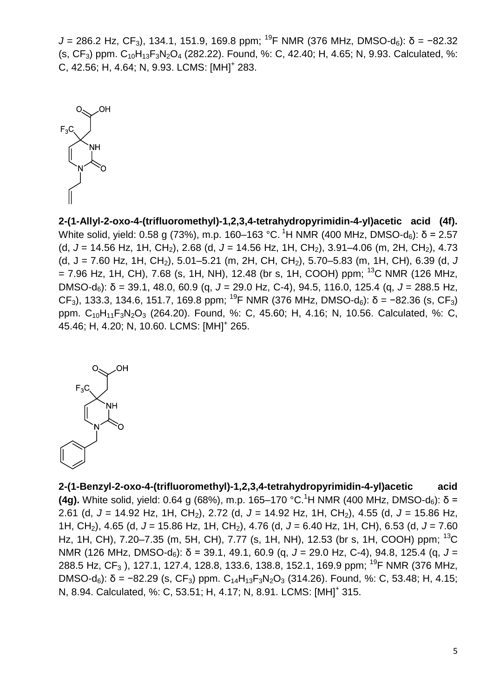*J* = 286.2 Hz, CF<sub>3</sub>), 134.1, 151.9, 169.8 ppm; <sup>19</sup>F NMR (376 MHz, DMSO-d<sub>6</sub>): δ = −82.32  $(S, CF_3)$  ppm.  $C_{10}H_{13}F_3N_2O_4$  (282.22). Found, %: C, 42.40; H, 4.65; N, 9.93. Calculated, %: C, 42.56; H, 4.64; N, 9.93. LCMS: [MH]<sup>+</sup> 283.



**2-(1-Allyl-2-oxo-4-(trifluoromethyl)-1,2,3,4-tetrahydropyrimidin-4-yl)acetic acid (4f).**  White solid, yield: 0.58 g (73%), m.p. 160–163 °C. <sup>1</sup>H NMR (400 MHz, DMSO-d<sub>6</sub>): δ = 2.57 (d, J = 14.56 Hz, 1H, CH<sub>2</sub>), 2.68 (d, J = 14.56 Hz, 1H, CH<sub>2</sub>), 3.91–4.06 (m, 2H, CH<sub>2</sub>), 4.73  $(d, J = 7.60$  Hz, 1H, CH<sub>2</sub>), 5.01–5.21 (m, 2H, CH, CH<sub>2</sub>), 5.70–5.83 (m, 1H, CH), 6.39 (d, *J*  $= 7.96$  Hz, 1H, CH), 7.68 (s, 1H, NH), 12.48 (br s, 1H, COOH) ppm; <sup>13</sup>C NMR (126 MHz, DMSO-d6): δ = 39.1, 48.0, 60.9 (q, *J* = 29.0 Hz, C-4), 94.5, 116.0, 125.4 (q, *J* = 288.5 Hz, CF<sub>3</sub>), 133.3, 134.6, 151.7, 169.8 ppm; <sup>19</sup>F NMR (376 MHz, DMSO-d<sub>6</sub>): δ = −82.36 (s, CF<sub>3</sub>) ppm. C<sub>10</sub>H<sub>11</sub>F<sub>3</sub>N<sub>2</sub>O<sub>3</sub> (264.20). Found, %: C, 45.60; H, 4.16; N, 10.56. Calculated, %: C, 45.46; H, 4.20; N, 10.60. LCMS: [MH]<sup>+</sup> 265.



**2-(1-Benzyl-2-oxo-4-(trifluoromethyl)-1,2,3,4-tetrahydropyrimidin-4-yl)acetic acid (4g).** White solid, yield: 0.64 g (68%), m.p. 165–170 °C.<sup>1</sup>H NMR (400 MHz, DMSO-d<sub>6</sub>): δ = 2.61 (d, *J* = 14.92 Hz, 1H, CH<sub>2</sub>), 2.72 (d, *J* = 14.92 Hz, 1H, CH<sub>2</sub>), 4.55 (d, *J* = 15.86 Hz, 1H, CH2), 4.65 (d, *J* = 15.86 Hz, 1H, CH2), 4.76 (d, *J* = 6.40 Hz, 1H, CH), 6.53 (d, *J* = 7.60 Hz, 1H, CH), 7.20–7.35 (m, 5H, CH), 7.77 (s, 1H, NH), 12.53 (br s, 1H, COOH) ppm; <sup>13</sup>C NMR (126 MHz, DMSO-d<sub>6</sub>): δ = 39.1, 49.1, 60.9 (q, *J* = 29.0 Hz, C-4), 94.8, 125.4 (q, *J* = 288.5 Hz, CF<sub>3</sub>), 127.1, 127.4, 128.8, 133.6, 138.8, 152.1, 169.9 ppm; <sup>19</sup>F NMR (376 MHz, DMSO-d<sub>6</sub>): δ = -82.29 (s, CF<sub>3</sub>) ppm. C<sub>14</sub>H<sub>13</sub>F<sub>3</sub>N<sub>2</sub>O<sub>3</sub> (314.26). Found, %: C, 53.48; H, 4.15; N, 8.94. Calculated, %: C, 53.51; H, 4.17; N, 8.91. LCMS: [MH]<sup>+</sup> 315.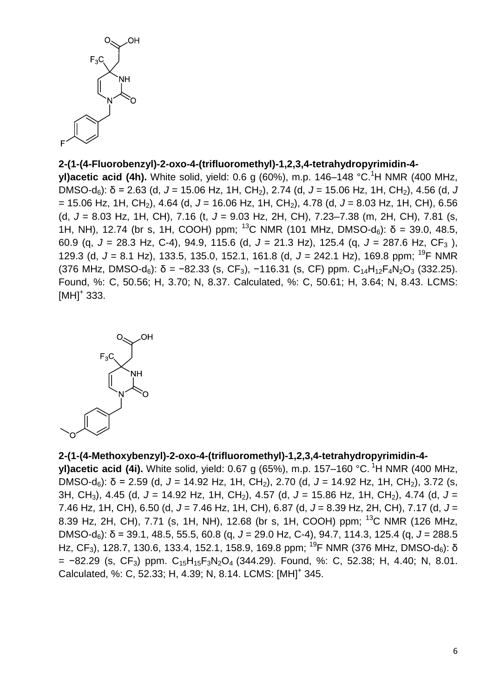

#### **2-(1-(4-Fluorobenzyl)-2-oxo-4-(trifluoromethyl)-1,2,3,4-tetrahydropyrimidin-4-**

**yl)acetic acid (4h).** White solid, yield: 0.6 g (60%), m.p. 146–148 °C.<sup>1</sup>H NMR (400 MHz, DMSO-d6): δ = 2.63 (d, *J* = 15.06 Hz, 1H, CH2), 2.74 (d, *J* = 15.06 Hz, 1H, CH2), 4.56 (d, *J* = 15.06 Hz, 1H, CH2), 4.64 (d, *J* = 16.06 Hz, 1H, CH2), 4.78 (d, *J* = 8.03 Hz, 1H, CH), 6.56 (d, *J* = 8.03 Hz, 1H, CH), 7.16 (t, *J* = 9.03 Hz, 2H, CH), 7.23–7.38 (m, 2H, CH), 7.81 (s, 1H, NH), 12.74 (br s, 1H, COOH) ppm; <sup>13</sup>C NMR (101 MHz, DMSO-d<sub>6</sub>):  $\delta$  = 39.0, 48.5, 60.9 (q, *J* = 28.3 Hz, C-4), 94.9, 115.6 (d, *J* = 21.3 Hz), 125.4 (q, *J* = 287.6 Hz, CF<sup>3</sup> ), 129.3 (d, *J* = 8.1 Hz), 133.5, 135.0, 152.1, 161.8 (d, *J* = 242.1 Hz), 169.8 ppm; <sup>19</sup> F NMR (376 MHz, DMSO-d<sub>6</sub>):  $\delta$  = −82.33 (s, CF<sub>3</sub>), −116.31 (s, CF) ppm. C<sub>14</sub>H<sub>12</sub>F<sub>4</sub>N<sub>2</sub>O<sub>3</sub> (332.25). Found, %: C, 50.56; H, 3.70; N, 8.37. Calculated, %: C, 50.61; H, 3.64; N, 8.43. LCMS:  $[MH]$ <sup>+</sup> 333.



## **2-(1-(4-Methoxybenzyl)-2-oxo-4-(trifluoromethyl)-1,2,3,4-tetrahydropyrimidin-4-**

**yl)acetic acid (4i).** White solid, yield: 0.67 g (65%), m.p. 157–160 °C. <sup>1</sup>H NMR (400 MHz, DMSO-d6): δ = 2.59 (d, *J* = 14.92 Hz, 1H, CH2), 2.70 (d, *J* = 14.92 Hz, 1H, CH2), 3.72 (s, 3H, CH3), 4.45 (d, *J* = 14.92 Hz, 1H, CH2), 4.57 (d, *J* = 15.86 Hz, 1H, CH2), 4.74 (d, *J* = 7.46 Hz, 1H, CH), 6.50 (d, *J* = 7.46 Hz, 1H, CH), 6.87 (d, *J* = 8.39 Hz, 2H, CH), 7.17 (d, *J* = 8.39 Hz, 2H, CH), 7.71 (s, 1H, NH), 12.68 (br s, 1H, COOH) ppm; <sup>13</sup>C NMR (126 MHz, DMSO-d6): δ = 39.1, 48.5, 55.5, 60.8 (q, *J* = 29.0 Hz, C-4), 94.7, 114.3, 125.4 (q, *J* = 288.5 Hz, CF<sub>3</sub>), 128.7, 130.6, 133.4, 152.1, 158.9, 169.8 ppm; <sup>19</sup>F NMR (376 MHz, DMSO-d<sub>6</sub>): δ  $= -82.29$  (s, CF<sub>3</sub>) ppm. C<sub>15</sub>H<sub>15</sub>F<sub>3</sub>N<sub>2</sub>O<sub>4</sub> (344.29). Found, %: C, 52.38; H, 4.40; N, 8.01. Calculated, %: C, 52.33; H, 4.39; N, 8.14. LCMS: [MH]<sup>+</sup> 345.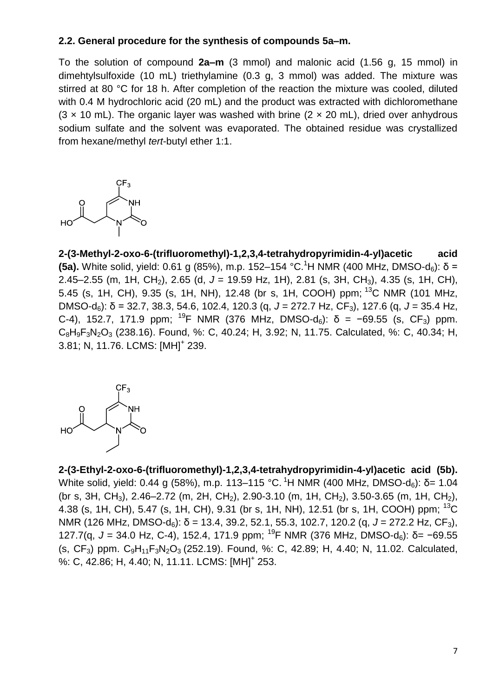## **2.2. General procedure for the synthesis of compounds 5a–m.**

To the solution of compound **2a–m** (3 mmol) and malonic acid (1.56 g, 15 mmol) in dimehtylsulfoxide (10 mL) triethylamine (0.3 g, 3 mmol) was added. The mixture was stirred at 80 °C for 18 h. After completion of the reaction the mixture was cooled, diluted with 0.4 M hydrochloric acid (20 mL) and the product was extracted with dichloromethane  $(3 \times 10 \text{ mL})$ . The organic layer was washed with brine  $(2 \times 20 \text{ mL})$ , dried over anhydrous sodium sulfate and the solvent was evaporated. The obtained residue was crystallized from hexane/methyl *tert*-butyl ether 1:1.



**2-(3-Methyl-2-oxo-6-(trifluoromethyl)-1,2,3,4-tetrahydropyrimidin-4-yl)acetic acid (5a).** White solid, yield: 0.61 g (85%), m.p. 152–154 °C.<sup>1</sup>H NMR (400 MHz, DMSO-d<sub>6</sub>): δ = 2.45–2.55 (m, 1H, CH2), 2.65 (d, *J* = 19.59 Hz, 1H), 2.81 (s, 3H, CH3), 4.35 (s, 1H, CH), 5.45 (s, 1H, CH), 9.35 (s, 1H, NH), 12.48 (br s, 1H, COOH) ppm; <sup>13</sup>C NMR (101 MHz, DMSO-d6): δ = 32.7, 38.3, 54.6, 102.4, 120.3 (q, *J* = 272.7 Hz, CF3), 127.6 (q, *J* = 35.4 Hz, C-4), 152.7, 171.9 ppm; <sup>19</sup>F NMR (376 MHz, DMSO-d<sub>6</sub>): δ = −69.55 (s, CF<sub>3</sub>) ppm. C8H9F3N2O<sup>3</sup> (238.16). Found, %: C, 40.24; H, 3.92; N, 11.75. Calculated, %: C, 40.34; H, 3.81; N, 11.76. LCMS: [MH]<sup>+</sup> 239.



**2-(3-Ethyl-2-oxo-6-(trifluoromethyl)-1,2,3,4-tetrahydropyrimidin-4-yl)acetic acid (5b).** White solid, yield: 0.44 g (58%), m.p. 113–115 °C. <sup>1</sup>H NMR (400 MHz, DMSO-d<sub>6</sub>): δ= 1.04 (br s, 3H, CH<sub>3</sub>), 2.46–2.72 (m, 2H, CH<sub>2</sub>), 2.90-3.10 (m, 1H, CH<sub>2</sub>), 3.50-3.65 (m, 1H, CH<sub>2</sub>), 4.38 (s, 1H, CH), 5.47 (s, 1H, CH), 9.31 (br s, 1H, NH), 12.51 (br s, 1H, COOH) ppm; <sup>13</sup>C NMR (126 MHz, DMSO-d6): δ = 13.4, 39.2, 52.1, 55.3, 102.7, 120.2 (q, *J* = 272.2 Hz, CF3), 127.7(q, *J* = 34.0 Hz, C-4), 152.4, 171.9 ppm; <sup>19</sup>F NMR (376 MHz, DMSO-d6): δ= −69.55  $(S, CF_3)$  ppm.  $C_9H_{11}F_3N_2O_3$  (252.19). Found, %: C, 42.89; H, 4.40; N, 11.02. Calculated, %: C, 42.86; H, 4.40; N, 11.11. LCMS: [MH]<sup>+</sup> 253.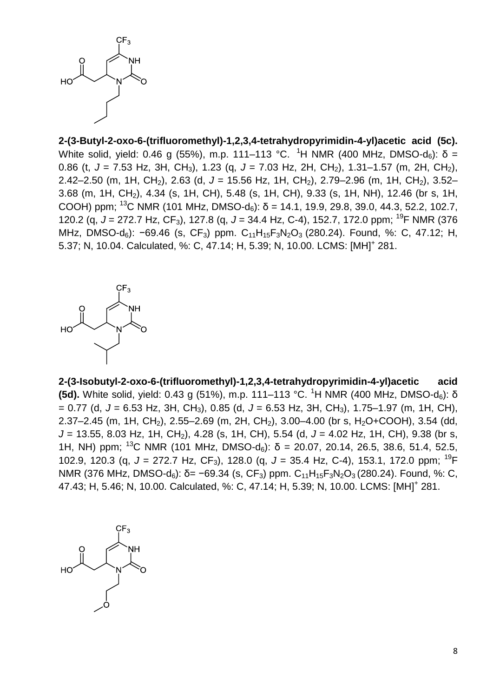

**2-(3-Butyl-2-oxo-6-(trifluoromethyl)-1,2,3,4-tetrahydropyrimidin-4-yl)acetic acid (5c).** White solid, yield: 0.46 g (55%), m.p. 111–113 °C. <sup>1</sup>H NMR (400 MHz, DMSO-d<sub>6</sub>): δ = 0.86 (t, *J* = 7.53 Hz, 3H, CH3), 1.23 (q, *J* = 7.03 Hz, 2H, CH2), 1.31–1.57 (m, 2H, CH2), 2.42–2.50 (m, 1H, CH<sub>2</sub>), 2.63 (d, J = 15.56 Hz, 1H, CH<sub>2</sub>), 2.79–2.96 (m, 1H, CH<sub>2</sub>), 3.52– 3.68 (m, 1H, CH2), 4.34 (s, 1H, CH), 5.48 (s, 1H, CH), 9.33 (s, 1H, NH), 12.46 (br s, 1H, COOH) ppm; <sup>13</sup>C NMR (101 MHz, DMSO-d<sub>6</sub>):  $\delta$  = 14.1, 19.9, 29.8, 39.0, 44.3, 52.2, 102.7, 120.2 (q, *J* = 272.7 Hz, CF3), 127.8 (q, *J* = 34.4 Hz, C-4), 152.7, 172.0 ppm; <sup>19</sup>F NMR (376 MHz, DMSO-d<sub>6</sub>):  $-69.46$  (s, CF<sub>3</sub>) ppm. C<sub>11</sub>H<sub>15</sub>F<sub>3</sub>N<sub>2</sub>O<sub>3</sub> (280.24). Found, %: C, 47.12; H, 5.37; N, 10.04. Calculated, %: C, 47.14; H, 5.39; N, 10.00. LCMS: [MH]<sup>+</sup> 281.



**2-(3-Isobutyl-2-oxo-6-(trifluoromethyl)-1,2,3,4-tetrahydropyrimidin-4-yl)acetic acid (5d).** White solid, yield: 0.43 g (51%), m.p. 111–113 °C. <sup>1</sup>H NMR (400 MHz, DMSO-d6): δ = 0.77 (d, *J* = 6.53 Hz, 3H, CH3), 0.85 (d, *J* = 6.53 Hz, 3H, CH3), 1.75–1.97 (m, 1H, CH), 2.37–2.45 (m, 1H, CH<sub>2</sub>), 2.55–2.69 (m, 2H, CH<sub>2</sub>), 3.00–4.00 (br s, H<sub>2</sub>O+COOH), 3.54 (dd, *J* = 13.55, 8.03 Hz, 1H, CH<sub>2</sub>), 4.28 (s, 1H, CH), 5.54 (d, *J* = 4.02 Hz, 1H, CH), 9.38 (br s, 1H, NH) ppm; <sup>13</sup>C NMR (101 MHz, DMSO-d<sub>6</sub>):  $\delta$  = 20.07, 20.14, 26.5, 38.6, 51.4, 52.5, 102.9, 120.3 (q, *J* = 272.7 Hz, CF3), 128.0 (q, *J* = 35.4 Hz, C-4), 153.1, 172.0 ppm; <sup>19</sup>F NMR (376 MHz, DMSO-d<sub>6</sub>): δ= −69.34 (s, CF<sub>3</sub>) ppm. C<sub>11</sub>H<sub>15</sub>F<sub>3</sub>N<sub>2</sub>O<sub>3</sub> (280.24). Found, %: C, 47.43; H, 5.46; N, 10.00. Calculated, %: C, 47.14; H, 5.39; N, 10.00. LCMS: [MH]<sup>+</sup> 281.

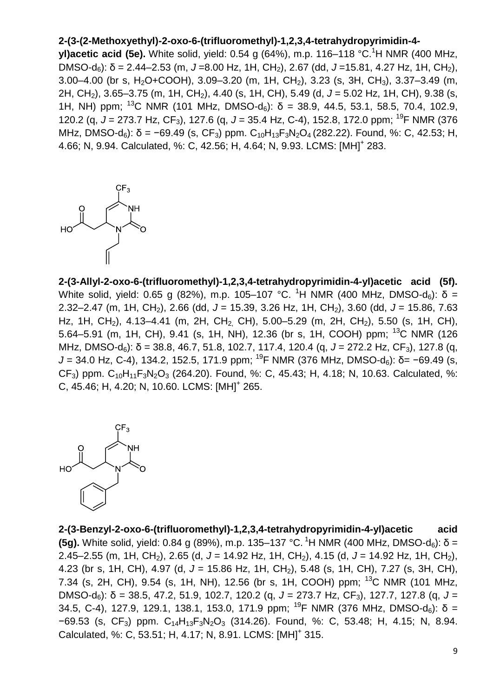# **2-(3-(2-Methoxyethyl)-2-oxo-6-(trifluoromethyl)-1,2,3,4-tetrahydropyrimidin-4-**

**yl)acetic acid (5e).** White solid, yield: 0.54 g (64%), m.p. 116–118 °C.<sup>1</sup>H NMR (400 MHz, DMSO-d6): δ = 2.44–2.53 (m, *J* =8.00 Hz, 1H, CH2), 2.67 (dd, *J* =15.81, 4.27 Hz, 1H, CH2),  $3.00-4.00$  (br s, H<sub>2</sub>O+COOH),  $3.09-3.20$  (m,  $1H$ , CH<sub>2</sub>),  $3.23$  (s,  $3H$ , CH<sub>3</sub>),  $3.37-3.49$  (m, 2H, CH2), 3.65–3.75 (m, 1H, CH2), 4.40 (s, 1H, CH), 5.49 (d, *J* = 5.02 Hz, 1H, CH), 9.38 (s, 1H, NH) ppm; <sup>13</sup>C NMR (101 MHz, DMSO-d<sub>6</sub>):  $\delta$  = 38.9, 44.5, 53.1, 58.5, 70.4, 102.9, 120.2 (q, *J* = 273.7 Hz, CF3), 127.6 (q, *J* = 35.4 Hz, C-4), 152.8, 172.0 ppm; <sup>19</sup>F NMR (376 MHz, DMSO-d<sub>6</sub>): δ = -69.49 (s, CF<sub>3</sub>) ppm. C<sub>10</sub>H<sub>13</sub>F<sub>3</sub>N<sub>2</sub>O<sub>4</sub> (282.22). Found, %: C, 42.53; H, 4.66; N, 9.94. Calculated, %: C, 42.56; H, 4.64; N, 9.93. LCMS: [MH]<sup>+</sup> 283.



**2-(3-Allyl-2-oxo-6-(trifluoromethyl)-1,2,3,4-tetrahydropyrimidin-4-yl)acetic acid (5f).** White solid, yield: 0.65 g (82%), m.p. 105–107 °C. <sup>1</sup>H NMR (400 MHz, DMSO-d<sub>6</sub>): δ = 2.32–2.47 (m, 1H, CH<sub>2</sub>), 2.66 (dd, J = 15.39, 3.26 Hz, 1H, CH<sub>2</sub>), 3.60 (dd, J = 15.86, 7.63 Hz, 1H, CH<sub>2</sub>), 4.13–4.41 (m, 2H, CH<sub>2</sub>, CH), 5.00–5.29 (m, 2H, CH<sub>2</sub>), 5.50 (s, 1H, CH), 5.64–5.91 (m, 1H, CH), 9.41 (s, 1H, NH), 12.36 (br s, 1H, COOH) ppm; <sup>13</sup>C NMR (126 MHz, DMSO-d<sub>6</sub>): δ = 38.8, 46.7, 51.8, 102.7, 117.4, 120.4 (q, J = 272.2 Hz, CF<sub>3</sub>), 127.8 (q, *J* = 34.0 Hz, C-4), 134.2, 152.5, 171.9 ppm; <sup>19</sup>F NMR (376 MHz, DMSO-d<sub>6</sub>): δ= −69.49 (s, CF<sub>3</sub>) ppm.  $C_{10}H_{11}F_3N_2O_3$  (264.20). Found, %: C, 45.43; H, 4.18; N, 10.63. Calculated, %: C, 45.46; H, 4.20; N, 10.60. LCMS: [MH]<sup>+</sup> 265.



**2-(3-Benzyl-2-oxo-6-(trifluoromethyl)-1,2,3,4-tetrahydropyrimidin-4-yl)acetic acid (5g).** White solid, yield: 0.84 g (89%), m.p. 135–137 °C. <sup>1</sup>H NMR (400 MHz, DMSO-d $_6$ ): δ = 2.45–2.55 (m, 1H, CH2), 2.65 (d, *J* = 14.92 Hz, 1H, CH2), 4.15 (d, *J* = 14.92 Hz, 1H, CH2), 4.23 (br s, 1H, CH), 4.97 (d, *J* = 15.86 Hz, 1H, CH2), 5.48 (s, 1H, CH), 7.27 (s, 3H, CH), 7.34 (s, 2H, CH), 9.54 (s, 1H, NH), 12.56 (br s, 1H, COOH) ppm; <sup>13</sup>C NMR (101 MHz, DMSO-d6): δ = 38.5, 47.2, 51.9, 102.7, 120.2 (q, *J* = 273.7 Hz, CF3), 127.7, 127.8 (q, *J* = 34.5, C-4), 127.9, 129.1, 138.1, 153.0, 171.9 ppm; <sup>19</sup>F NMR (376 MHz, DMSO-d<sub>6</sub>):  $\delta$  = −69.53 (s, CF3) ppm. C14H13F3N2O<sup>3</sup> (314.26). Found, %: C, 53.48; H, 4.15; N, 8.94. Calculated, %: C, 53.51; H, 4.17; N, 8.91. LCMS: [MH]<sup>+</sup> 315.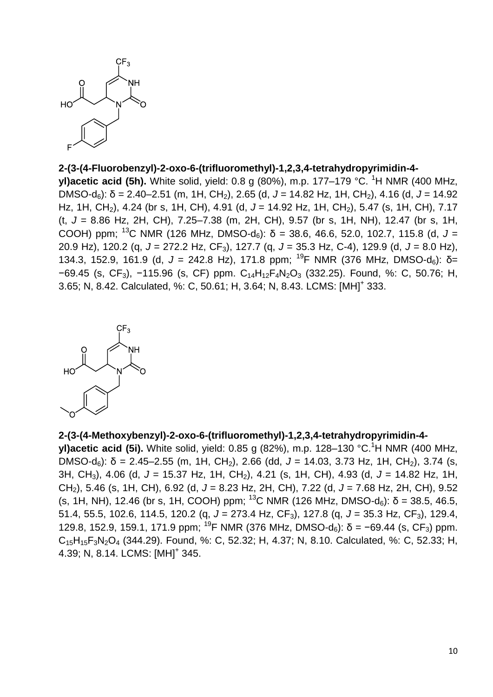

#### **2-(3-(4-Fluorobenzyl)-2-oxo-6-(trifluoromethyl)-1,2,3,4-tetrahydropyrimidin-4-**

**yl)acetic acid (5h).** White solid, yield: 0.8 g (80%), m.p. 177–179 °C. <sup>1</sup>H NMR (400 MHz, DMSO-d6): δ = 2.40–2.51 (m, 1H, CH2), 2.65 (d, *J* = 14.82 Hz, 1H, CH2), 4.16 (d, *J* = 14.92 Hz, 1H, CH<sub>2</sub>), 4.24 (br s, 1H, CH), 4.91 (d, J = 14.92 Hz, 1H, CH<sub>2</sub>), 5.47 (s, 1H, CH), 7.17 (t, *J* = 8.86 Hz, 2H, CH), 7.25–7.38 (m, 2H, CH), 9.57 (br s, 1H, NH), 12.47 (br s, 1H, COOH) ppm; <sup>13</sup>C NMR (126 MHz, DMSO-d<sub>6</sub>): δ = 38.6, 46.6, 52.0, 102.7, 115.8 (d, J = 20.9 Hz), 120.2 (q, *J* = 272.2 Hz, CF3), 127.7 (q, *J* = 35.3 Hz, C-4), 129.9 (d, *J* = 8.0 Hz), 134.3, 152.9, 161.9 (d,  $J = 242.8$  Hz), 171.8 ppm; <sup>19</sup>F NMR (376 MHz, DMSO-d<sub>6</sub>): δ= −69.45 (s, CF3), −115.96 (s, CF) ppm. C14H12F4N2O<sup>3</sup> (332.25). Found, %: C, 50.76; H, 3.65; N, 8.42. Calculated, %: C, 50.61; H, 3.64; N, 8.43. LCMS: [MH]<sup>+</sup> 333.



#### **2-(3-(4-Methoxybenzyl)-2-oxo-6-(trifluoromethyl)-1,2,3,4-tetrahydropyrimidin-4-**

**yl)acetic acid (5i).** White solid, yield: 0.85 g (82%), m.p. 128–130 °C.<sup>1</sup>H NMR (400 MHz, DMSO-d<sub>6</sub>): δ = 2.45–2.55 (m, 1H, CH<sub>2</sub>), 2.66 (dd, J = 14.03, 3.73 Hz, 1H, CH<sub>2</sub>), 3.74 (s, 3H, CH3), 4.06 (d, *J* = 15.37 Hz, 1H, CH2), 4.21 (s, 1H, CH), 4.93 (d, *J* = 14.82 Hz, 1H, CH2), 5.46 (s, 1H, CH), 6.92 (d, *J* = 8.23 Hz, 2H, CH), 7.22 (d, *J* = 7.68 Hz, 2H, CH), 9.52 (s, 1H, NH), 12.46 (br s, 1H, COOH) ppm; <sup>13</sup>C NMR (126 MHz, DMSO-d<sub>6</sub>):  $\delta$  = 38.5, 46.5, 51.4, 55.5, 102.6, 114.5, 120.2 (q, *J* = 273.4 Hz, CF<sub>3</sub>), 127.8 (q, *J* = 35.3 Hz, CF<sub>3</sub>), 129.4, 129.8, 152.9, 159.1, 171.9 ppm; <sup>19</sup>F NMR (376 MHz, DMSO-d<sub>6</sub>):  $\delta$  = −69.44 (s, CF<sub>3</sub>) ppm. C15H15F3N2O<sup>4</sup> (344.29). Found, %: C, 52.32; H, 4.37; N, 8.10. Calculated, %: C, 52.33; H, 4.39; N, 8.14. LCMS: [MH]<sup>+</sup> 345.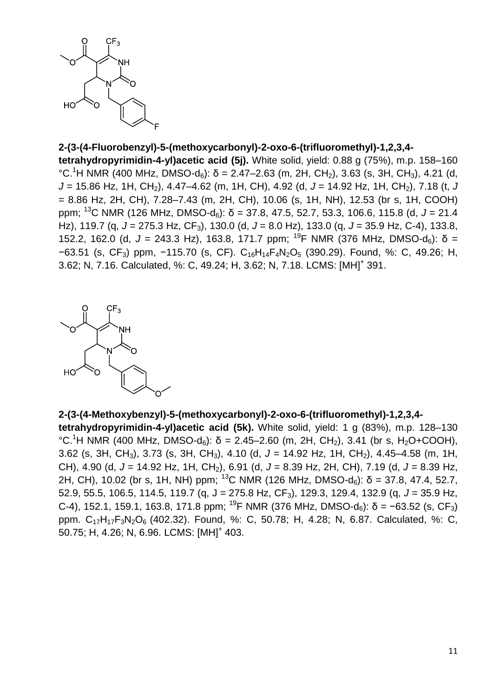

# **2-(3-(4-Fluorobenzyl)-5-(methoxycarbonyl)-2-oxo-6-(trifluoromethyl)-1,2,3,4-**

**tetrahydropyrimidin-4-yl)acetic acid (5j).** White solid, yield: 0.88 g (75%), m.p. 158–160 °C.<sup>1</sup>H NMR (400 MHz, DMSO-d<sub>6</sub>):  $\delta$  = 2.47–2.63 (m, 2H, CH<sub>2</sub>), 3.63 (s, 3H, CH<sub>3</sub>), 4.21 (d, *J* = 15.86 Hz, 1H, CH2), 4.47–4.62 (m, 1H, CH), 4.92 (d, *J* = 14.92 Hz, 1H, CH2), 7.18 (t, *J* = 8.86 Hz, 2H, CH), 7.28–7.43 (m, 2H, CH), 10.06 (s, 1H, NH), 12.53 (br s, 1H, COOH) ppm; <sup>13</sup>C NMR (126 MHz, DMSO-d6): δ = 37.8, 47.5, 52.7, 53.3, 106.6, 115.8 (d, *J* = 21.4 Hz), 119.7 (q, *J* = 275.3 Hz, CF3), 130.0 (d, *J* = 8.0 Hz), 133.0 (q, *J* = 35.9 Hz, C-4), 133.8, 152.2, 162.0 (d,  $J = 243.3$  Hz), 163.8, 171.7 ppm; <sup>19</sup>F NMR (376 MHz, DMSO-d<sub>6</sub>):  $\delta =$ −63.51 (s, CF3) ppm, −115.70 (s, CF). C16H14F4N2O<sup>5</sup> (390.29). Found, %: C, 49.26; H, 3.62; N, 7.16. Calculated, %: C, 49.24; H, 3.62; N, 7.18. LCMS: [MH]<sup>+</sup> 391.



**2-(3-(4-Methoxybenzyl)-5-(methoxycarbonyl)-2-oxo-6-(trifluoromethyl)-1,2,3,4 tetrahydropyrimidin-4-yl)acetic acid (5k).** White solid, yield: 1 g (83%), m.p. 128–130 °C.<sup>1</sup>H NMR (400 MHz, DMSO-d<sub>6</sub>): δ = 2.45–2.60 (m, 2H, CH<sub>2</sub>), 3.41 (br s, H<sub>2</sub>O+COOH), 3.62 (s, 3H, CH3), 3.73 (s, 3H, CH3), 4.10 (d, *J* = 14.92 Hz, 1H, CH2), 4.45–4.58 (m, 1H, CH), 4.90 (d, *J* = 14.92 Hz, 1H, CH2), 6.91 (d, *J* = 8.39 Hz, 2H, CH), 7.19 (d, *J* = 8.39 Hz, 2H, CH), 10.02 (br s, 1H, NH) ppm; <sup>13</sup>C NMR (126 MHz, DMSO-d<sub>6</sub>):  $\delta$  = 37.8, 47.4, 52.7, 52.9, 55.5, 106.5, 114.5, 119.7 (q, J = 275.8 Hz, CF3), 129.3, 129.4, 132.9 (q, *J* = 35.9 Hz, C-4), 152.1, 159.1, 163.8, 171.8 ppm; <sup>19</sup>F NMR (376 MHz, DMSO-d<sub>6</sub>): δ = −63.52 (s, CF<sub>3</sub>) ppm. C17H17F3N2O<sup>6</sup> (402.32). Found, %: C, 50.78; H, 4.28; N, 6.87. Calculated, %: C, 50.75; H, 4.26; N, 6.96. LCMS: [MH]<sup>+</sup> 403.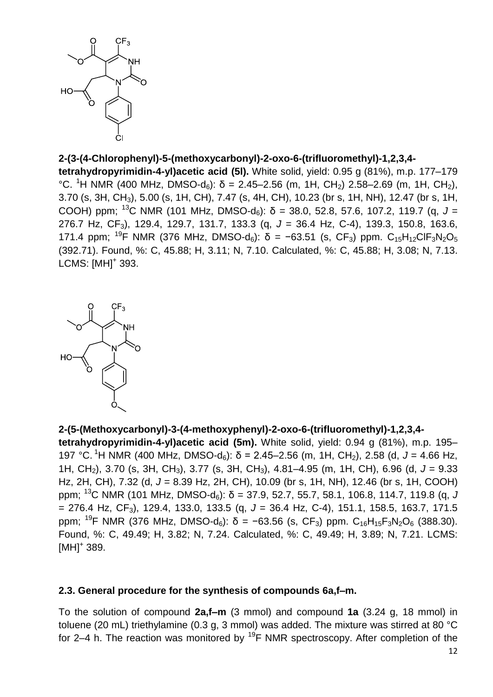

# **2-(3-(4-Chlorophenyl)-5-(methoxycarbonyl)-2-oxo-6-(trifluoromethyl)-1,2,3,4-**

**tetrahydropyrimidin-4-yl)acetic acid (5l).** White solid, yield: 0.95 g (81%), m.p. 177–179 °C. <sup>1</sup>H NMR (400 MHz, DMSO-d<sub>6</sub>): δ = 2.45–2.56 (m, 1H, CH<sub>2</sub>) 2.58–2.69 (m, 1H, CH<sub>2</sub>), 3.70 (s, 3H, CH3), 5.00 (s, 1H, CH), 7.47 (s, 4H, CH), 10.23 (br s, 1H, NH), 12.47 (br s, 1H, COOH) ppm; <sup>13</sup>C NMR (101 MHz, DMSO-d<sub>6</sub>): δ = 38.0, 52.8, 57.6, 107.2, 119.7 (q, J = 276.7 Hz, CF3), 129.4, 129.7, 131.7, 133.3 (q, *J* = 36.4 Hz, C-4), 139.3, 150.8, 163.6, 171.4 ppm; <sup>19</sup>F NMR (376 MHz, DMSO-d<sub>6</sub>):  $\delta$  = -63.51 (s, CF<sub>3</sub>) ppm. C<sub>15</sub>H<sub>12</sub>ClF<sub>3</sub>N<sub>2</sub>O<sub>5</sub> (392.71). Found, %: C, 45.88; H, 3.11; N, 7.10. Calculated, %: C, 45.88; H, 3.08; N, 7.13. LCMS: [MH]<sup>+</sup> 393.



**2-(5-(Methoxycarbonyl)-3-(4-methoxyphenyl)-2-oxo-6-(trifluoromethyl)-1,2,3,4 tetrahydropyrimidin-4-yl)acetic acid (5m).** White solid, yield: 0.94 g (81%), m.p. 195– 197 °C. <sup>1</sup>H NMR (400 MHz, DMSO-d<sub>6</sub>): δ = 2.45–2.56 (m, 1H, CH<sub>2</sub>), 2.58 (d, J = 4.66 Hz, 1H, CH2), 3.70 (s, 3H, CH3), 3.77 (s, 3H, CH3), 4.81–4.95 (m, 1H, CH), 6.96 (d, *J* = 9.33 Hz, 2H, CH), 7.32 (d, *J* = 8.39 Hz, 2H, CH), 10.09 (br s, 1H, NH), 12.46 (br s, 1H, COOH) ppm;  $^{13}$ C NMR (101 MHz, DMSO-d<sub>6</sub>):  $\delta$  = 37.9, 52.7, 55.7, 58.1, 106.8, 114.7, 119.8 (q, *J* = 276.4 Hz, CF3), 129.4, 133.0, 133.5 (q, *J* = 36.4 Hz, C-4), 151.1, 158.5, 163.7, 171.5 ppm; <sup>19</sup>F NMR (376 MHz, DMSO-d<sub>6</sub>):  $\delta$  = −63.56 (s, CF<sub>3</sub>) ppm. C<sub>16</sub>H<sub>15</sub>F<sub>3</sub>N<sub>2</sub>O<sub>6</sub> (388.30). Found, %: C, 49.49; H, 3.82; N, 7.24. Calculated, %: C, 49.49; H, 3.89; N, 7.21. LCMS:  $[MH]$ <sup>+</sup> 389.

## **2.3. General procedure for the synthesis of compounds 6a,f–m.**

To the solution of compound **2a,f–m** (3 mmol) and compound **1a** (3.24 g, 18 mmol) in toluene (20 mL) triethylamine (0.3 g, 3 mmol) was added. The mixture was stirred at 80 °C for 2–4 h. The reaction was monitored by  $^{19}$ F NMR spectroscopy. After completion of the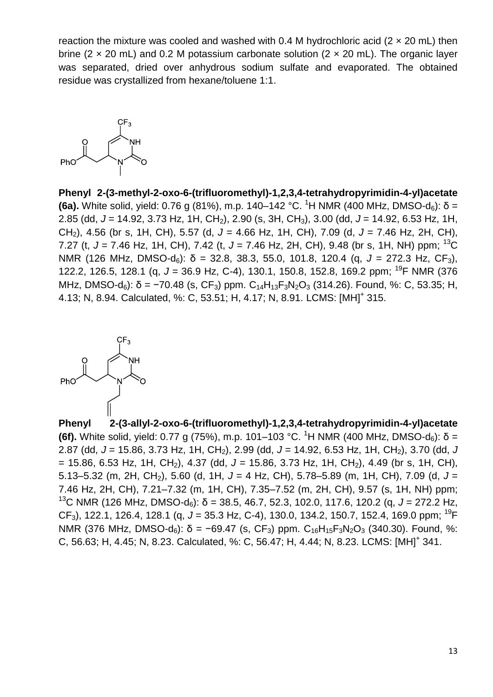reaction the mixture was cooled and washed with 0.4 M hydrochloric acid ( $2 \times 20$  mL) then brine (2  $\times$  20 mL) and 0.2 M potassium carbonate solution (2  $\times$  20 mL). The organic layer was separated, dried over anhydrous sodium sulfate and evaporated. The obtained residue was crystallized from hexane/toluene 1:1.



**Phenyl 2-(3-methyl-2-oxo-6-(trifluoromethyl)-1,2,3,4-tetrahydropyrimidin-4-yl)acetate (6a).** White solid, yield: 0.76 g (81%), m.p. 140–142 °C. <sup>1</sup>H NMR (400 MHz, DMSO-d<sub>6</sub>): δ = 2.85 (dd, *J* = 14.92, 3.73 Hz, 1H, CH2), 2.90 (s, 3H, CH3), 3.00 (dd, *J* = 14.92, 6.53 Hz, 1H, CH2), 4.56 (br s, 1H, CH), 5.57 (d, *J* = 4.66 Hz, 1H, CH), 7.09 (d, *J* = 7.46 Hz, 2H, CH), 7.27 (t, *J* = 7.46 Hz, 1H, CH), 7.42 (t, *J* = 7.46 Hz, 2H, CH), 9.48 (br s, 1H, NH) ppm; <sup>13</sup>C NMR (126 MHz, DMSO-d6): δ = 32.8, 38.3, 55.0, 101.8, 120.4 (q, *J* = 272.3 Hz, CF3), 122.2, 126.5, 128.1 (q, *J* = 36.9 Hz, C-4), 130.1, 150.8, 152.8, 169.2 ppm; <sup>19</sup>F NMR (376 MHz, DMSO-d<sub>6</sub>): δ = -70.48 (s, CF<sub>3</sub>) ppm. C<sub>14</sub>H<sub>13</sub>F<sub>3</sub>N<sub>2</sub>O<sub>3</sub> (314.26). Found, %: C, 53.35; H, 4.13; N, 8.94. Calculated, %: C, 53.51; H, 4.17; N, 8.91. LCMS: [MH]<sup>+</sup> 315.



**Phenyl 2-(3-allyl-2-oxo-6-(trifluoromethyl)-1,2,3,4-tetrahydropyrimidin-4-yl)acetate (6f).** White solid, yield: 0.77 g (75%), m.p. 101–103 °C. <sup>1</sup>H NMR (400 MHz, DMSO-d<sub>6</sub>): δ = 2.87 (dd, *J* = 15.86, 3.73 Hz, 1H, CH2), 2.99 (dd, *J* = 14.92, 6.53 Hz, 1H, CH2), 3.70 (dd, *J*  $= 15.86, 6.53$  Hz, 1H, CH<sub>2</sub>), 4.37 (dd, J = 15.86, 3.73 Hz, 1H, CH<sub>2</sub>), 4.49 (br s, 1H, CH), 5.13–5.32 (m, 2H, CH2), 5.60 (d, 1H, *J* = 4 Hz, CH), 5.78–5.89 (m, 1H, CH), 7.09 (d, *J* = 7.46 Hz, 2H, CH), 7.21–7.32 (m, 1H, CH), 7.35–7.52 (m, 2H, CH), 9.57 (s, 1H, NH) ppm; <sup>13</sup>C NMR (126 MHz, DMSO-d<sub>6</sub>): δ = 38.5, 46.7, 52.3, 102.0, 117.6, 120.2 (q, J = 272.2 Hz, CF3), 122.1, 126.4, 128.1 (q, *J* = 35.3 Hz, C-4), 130.0, 134.2, 150.7, 152.4, 169.0 ppm; <sup>19</sup>F NMR (376 MHz, DMSO-d<sub>6</sub>): δ = −69.47 (s, CF<sub>3</sub>) ppm. C<sub>16</sub>H<sub>15</sub>F<sub>3</sub>N<sub>2</sub>O<sub>3</sub> (340.30). Found, %: C, 56.63; H, 4.45; N, 8.23. Calculated, %: C, 56.47; H, 4.44; N, 8.23. LCMS: [MH]<sup>+</sup> 341.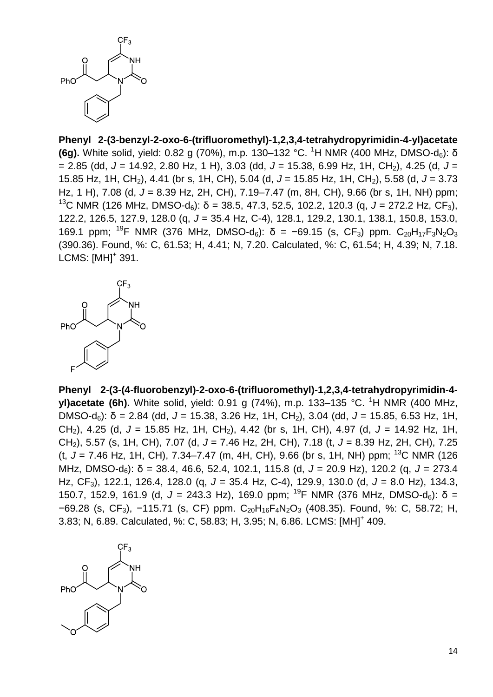

**Phenyl 2-(3-benzyl-2-oxo-6-(trifluoromethyl)-1,2,3,4-tetrahydropyrimidin-4-yl)acetate (6g).** White solid, yield: 0.82 g (70%), m.p. 130–132 °C. <sup>1</sup>H NMR (400 MHz, DMSO-d<sub>6</sub>): δ = 2.85 (dd, *J* = 14.92, 2.80 Hz, 1 H), 3.03 (dd, *J* = 15.38, 6.99 Hz, 1H, CH2), 4.25 (d, *J* = 15.85 Hz, 1H, CH2), 4.41 (br s, 1H, CH), 5.04 (d, *J* = 15.85 Hz, 1H, CH2), 5.58 (d, *J* = 3.73 Hz, 1 H), 7.08 (d, *J* = 8.39 Hz, 2H, CH), 7.19–7.47 (m, 8H, CH), 9.66 (br s, 1H, NH) ppm; <sup>13</sup>C NMR (126 MHz, DMSO-d<sub>6</sub>): δ = 38.5, 47.3, 52.5, 102.2, 120.3 (q, J = 272.2 Hz, CF<sub>3</sub>), 122.2, 126.5, 127.9, 128.0 (q, *J* = 35.4 Hz, C-4), 128.1, 129.2, 130.1, 138.1, 150.8, 153.0, 169.1 ppm; <sup>19</sup>F NMR (376 MHz, DMSO-d<sub>6</sub>): δ = -69.15 (s, CF<sub>3</sub>) ppm. C<sub>20</sub>H<sub>17</sub>F<sub>3</sub>N<sub>2</sub>O<sub>3</sub> (390.36). Found, %: C, 61.53; H, 4.41; N, 7.20. Calculated, %: C, 61.54; H, 4.39; N, 7.18. LCMS: [MH]<sup>+</sup> 391.



**Phenyl 2-(3-(4-fluorobenzyl)-2-oxo-6-(trifluoromethyl)-1,2,3,4-tetrahydropyrimidin-4 yl)acetate (6h).** White solid, yield: 0.91 g (74%), m.p. 133–135 °C. <sup>1</sup>H NMR (400 MHz, DMSO-d6): δ = 2.84 (dd, *J* = 15.38, 3.26 Hz, 1H, CH2), 3.04 (dd, *J* = 15.85, 6.53 Hz, 1H, CH2), 4.25 (d, *J* = 15.85 Hz, 1H, CH2), 4.42 (br s, 1H, CH), 4.97 (d, *J* = 14.92 Hz, 1H, CH2), 5.57 (s, 1H, CH), 7.07 (d, *J* = 7.46 Hz, 2H, CH), 7.18 (t, *J* = 8.39 Hz, 2H, CH), 7.25 (t, *J* = 7.46 Hz, 1H, CH), 7.34–7.47 (m, 4H, CH), 9.66 (br s, 1H, NH) ppm; <sup>13</sup>C NMR (126 MHz, DMSO-d6): δ = 38.4, 46.6, 52.4, 102.1, 115.8 (d, *J* = 20.9 Hz), 120.2 (q, *J* = 273.4 Hz, CF3), 122.1, 126.4, 128.0 (q, *J* = 35.4 Hz, C-4), 129.9, 130.0 (d, *J* = 8.0 Hz), 134.3, 150.7, 152.9, 161.9 (d, *J* = 243.3 Hz), 169.0 ppm; <sup>19</sup>F NMR (376 MHz, DMSO-d6): δ = −69.28 (s, CF3), −115.71 (s, CF) ppm. C20H16F4N2O<sup>3</sup> (408.35). Found, %: C, 58.72; H, 3.83; N, 6.89. Calculated, %: C, 58.83; H, 3.95; N, 6.86. LCMS: [MH]<sup>+</sup> 409.

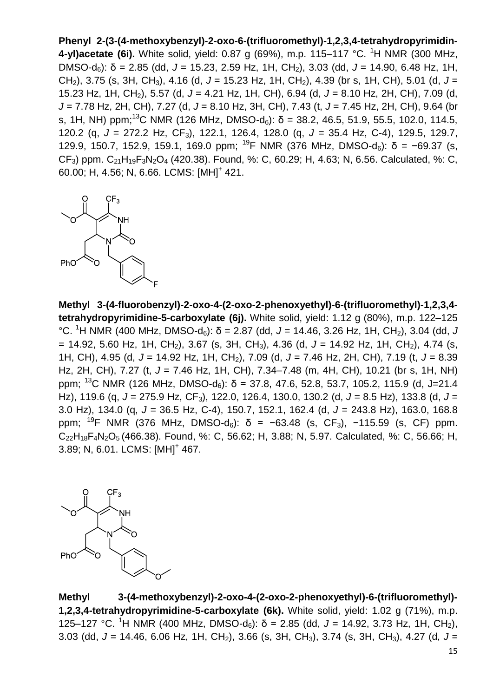**Phenyl 2-(3-(4-methoxybenzyl)-2-oxo-6-(trifluoromethyl)-1,2,3,4-tetrahydropyrimidin-4-yl)acetate (6i).** White solid, yield: 0.87 g (69%), m.p. 115–117 °C. <sup>1</sup>H NMR (300 MHz, DMSO-d6): δ = 2.85 (dd, *J* = 15.23, 2.59 Hz, 1H, CH2), 3.03 (dd, *J* = 14.90, 6.48 Hz, 1H, CH2), 3.75 (s, 3H, CH3), 4.16 (d, *J* = 15.23 Hz, 1H, CH2), 4.39 (br s, 1H, CH), 5.01 (d, *J* = 15.23 Hz, 1H, CH2), 5.57 (d, *J* = 4.21 Hz, 1H, CH), 6.94 (d, *J* = 8.10 Hz, 2H, CH), 7.09 (d, *J* = 7.78 Hz, 2H, CH), 7.27 (d, *J* = 8.10 Hz, 3H, CH), 7.43 (t, *J* = 7.45 Hz, 2H, CH), 9.64 (br s, 1H, NH) ppm;<sup>13</sup>C NMR (126 MHz, DMSO-d<sub>6</sub>): δ = 38.2, 46.5, 51.9, 55.5, 102.0, 114.5, 120.2 (q, *J* = 272.2 Hz, CF3), 122.1, 126.4, 128.0 (q, *J* = 35.4 Hz, C-4), 129.5, 129.7, 129.9, 150.7, 152.9, 159.1, 169.0 ppm; <sup>19</sup>F NMR (376 MHz, DMSO-d<sub>6</sub>): δ = -69.37 (s,  $CF_3$ ) ppm.  $C_{21}H_{19}F_3N_2O_4$  (420.38). Found, %: C, 60.29; H, 4.63; N, 6.56. Calculated, %: C, 60.00; H, 4.56; N, 6.66. LCMS: [MH]<sup>+</sup> 421.



**Methyl 3-(4-fluorobenzyl)-2-oxo-4-(2-oxo-2-phenoxyethyl)-6-(trifluoromethyl)-1,2,3,4 tetrahydropyrimidine-5-carboxylate (6j).** White solid, yield: 1.12 g (80%), m.p. 122–125  $°C.$ <sup>1</sup>H NMR (400 MHz, DMSO-d<sub>6</sub>): δ = 2.87 (dd, J = 14.46, 3.26 Hz, 1H, CH<sub>2</sub>), 3.04 (dd, J  $= 14.92$ , 5.60 Hz, 1H, CH<sub>2</sub>), 3.67 (s, 3H, CH<sub>3</sub>), 4.36 (d, J = 14.92 Hz, 1H, CH<sub>2</sub>), 4.74 (s, 1H, CH), 4.95 (d, *J* = 14.92 Hz, 1H, CH2), 7.09 (d, *J* = 7.46 Hz, 2H, CH), 7.19 (t, *J* = 8.39 Hz, 2H, CH), 7.27 (t, *J* = 7.46 Hz, 1H, CH), 7.34–7.48 (m, 4H, CH), 10.21 (br s, 1H, NH) ppm; <sup>13</sup>C NMR (126 MHz, DMSO-d<sub>6</sub>):  $\delta$  = 37.8, 47.6, 52.8, 53.7, 105.2, 115.9 (d, J=21.4 Hz), 119.6 (q, *J* = 275.9 Hz, CF3), 122.0, 126.4, 130.0, 130.2 (d, *J* = 8.5 Hz), 133.8 (d, *J* = 3.0 Hz), 134.0 (q, *J* = 36.5 Hz, C-4), 150.7, 152.1, 162.4 (d, *J* = 243.8 Hz), 163.0, 168.8 ppm; <sup>19</sup>F NMR (376 MHz, DMSO-d<sub>6</sub>): δ = −63.48 (s, CF<sub>3</sub>), −115.59 (s, CF) ppm.  $C_{22}H_{18}F_4N_2O_5$  (466.38). Found, %: C, 56.62; H, 3.88; N, 5.97. Calculated, %: C, 56.66; H, 3.89; N, 6.01. LCMS: [MH]<sup>+</sup> 467.



**Methyl 3-(4-methoxybenzyl)-2-oxo-4-(2-oxo-2-phenoxyethyl)-6-(trifluoromethyl)- 1,2,3,4-tetrahydropyrimidine-5-carboxylate (6k).** White solid, yield: 1.02 g (71%), m.p. 125–127 °C. <sup>1</sup>H NMR (400 MHz, DMSO-d<sub>6</sub>): δ = 2.85 (dd, J = 14.92, 3.73 Hz, 1H, CH<sub>2</sub>), 3.03 (dd, *J* = 14.46, 6.06 Hz, 1H, CH2), 3.66 (s, 3H, CH3), 3.74 (s, 3H, CH3), 4.27 (d, *J* =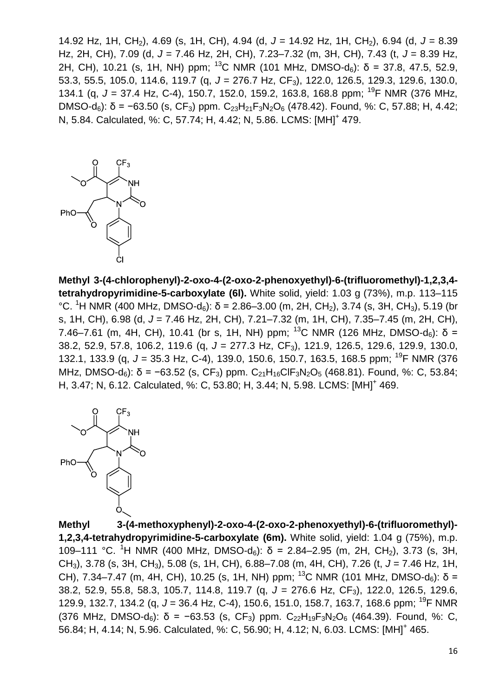14.92 Hz, 1H, CH2), 4.69 (s, 1H, CH), 4.94 (d, *J* = 14.92 Hz, 1H, CH2), 6.94 (d, *J* = 8.39 Hz, 2H, CH), 7.09 (d, *J* = 7.46 Hz, 2H, CH), 7.23–7.32 (m, 3H, CH), 7.43 (t, *J* = 8.39 Hz, 2H, CH), 10.21 (s, 1H, NH) ppm; <sup>13</sup>C NMR (101 MHz, DMSO-d<sub>6</sub>):  $\delta$  = 37.8, 47.5, 52.9, 53.3, 55.5, 105.0, 114.6, 119.7 (q, *J* = 276.7 Hz, CF3), 122.0, 126.5, 129.3, 129.6, 130.0, 134.1 (q, *J* = 37.4 Hz, C-4), 150.7, 152.0, 159.2, 163.8, 168.8 ppm; <sup>19</sup>F NMR (376 MHz, DMSO-d<sub>6</sub>): δ = −63.50 (s, CF<sub>3</sub>) ppm. C<sub>23</sub>H<sub>21</sub>F<sub>3</sub>N<sub>2</sub>O<sub>6</sub> (478.42). Found, %: C, 57.88; H, 4.42; N, 5.84. Calculated, %: C, 57.74; H, 4.42; N, 5.86. LCMS: [MH]<sup>+</sup> 479.



**Methyl 3-(4-chlorophenyl)-2-oxo-4-(2-oxo-2-phenoxyethyl)-6-(trifluoromethyl)-1,2,3,4 tetrahydropyrimidine-5-carboxylate (6l).** White solid, yield: 1.03 g (73%), m.p. 113–115 °C. <sup>1</sup>H NMR (400 MHz, DMSO-d<sub>6</sub>): δ = 2.86–3.00 (m, 2H, CH<sub>2</sub>), 3.74 (s, 3H, CH<sub>3</sub>), 5.19 (br s, 1H, CH), 6.98 (d, *J* = 7.46 Hz, 2H, CH), 7.21–7.32 (m, 1H, CH), 7.35–7.45 (m, 2H, CH), 7.46–7.61 (m, 4H, CH), 10.41 (br s, 1H, NH) ppm; <sup>13</sup>C NMR (126 MHz, DMSO-d<sub>6</sub>): δ = 38.2, 52.9, 57.8, 106.2, 119.6 (q, *J* = 277.3 Hz, CF3), 121.9, 126.5, 129.6, 129.9, 130.0, 132.1, 133.9 (q, *J* = 35.3 Hz, C-4), 139.0, 150.6, 150.7, 163.5, 168.5 ppm; <sup>19</sup>F NMR (376 MHz, DMSO-d<sub>6</sub>): δ = -63.52 (s, CF<sub>3</sub>) ppm. C<sub>21</sub>H<sub>16</sub>ClF<sub>3</sub>N<sub>2</sub>O<sub>5</sub> (468.81). Found, %: C, 53.84; H, 3.47; N, 6.12. Calculated, %: C, 53.80; H, 3.44; N, 5.98. LCMS: [MH]<sup>+</sup> 469.



**Methyl 3-(4-methoxyphenyl)-2-oxo-4-(2-oxo-2-phenoxyethyl)-6-(trifluoromethyl)- 1,2,3,4-tetrahydropyrimidine-5-carboxylate (6m).** White solid, yield: 1.04 g (75%), m.p. 109–111 °C. <sup>1</sup>H NMR (400 MHz, DMSO-d<sub>6</sub>): δ = 2.84–2.95 (m, 2H, CH<sub>2</sub>), 3.73 (s, 3H, CH3), 3.78 (s, 3H, CH3), 5.08 (s, 1H, CH), 6.88–7.08 (m, 4H, CH), 7.26 (t, *J* = 7.46 Hz, 1H, CH), 7.34–7.47 (m, 4H, CH), 10.25 (s, 1H, NH) ppm; <sup>13</sup>C NMR (101 MHz, DMSO-d<sub>6</sub>): δ = 38.2, 52.9, 55.8, 58.3, 105.7, 114.8, 119.7 (q, *J* = 276.6 Hz, CF<sub>3</sub>), 122.0, 126.5, 129.6, 129.9, 132.7, 134.2 (q, *J* = 36.4 Hz, C-4), 150.6, 151.0, 158.7, 163.7, 168.6 ppm; <sup>19</sup>F NMR (376 MHz, DMSO-d<sub>6</sub>):  $\delta$  = −63.53 (s, CF<sub>3</sub>) ppm. C<sub>22</sub>H<sub>19</sub>F<sub>3</sub>N<sub>2</sub>O<sub>6</sub> (464.39). Found, %: C, 56.84; H, 4.14; N, 5.96. Calculated, %: C, 56.90; H, 4.12; N, 6.03. LCMS: [MH]<sup>+</sup> 465.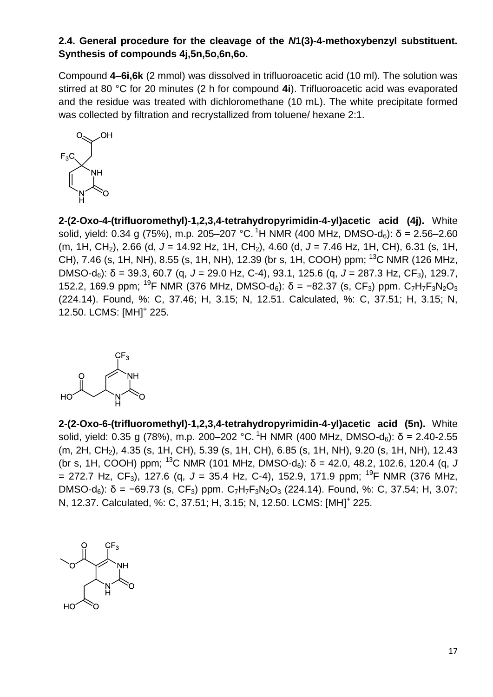# **2.4. General procedure for the cleavage of the** *N***1(3)-4-methoxybenzyl substituent. Synthesis of compounds 4j,5n,5o,6n,6o.**

Compound **4–6i,6k** (2 mmol) was dissolved in trifluoroacetic acid (10 ml). The solution was stirred at 80 °C for 20 minutes (2 h for compound **4i**). Trifluoroacetic acid was evaporated and the residue was treated with dichloromethane (10 mL). The white precipitate formed was collected by filtration and recrystallized from toluene/ hexane 2:1.



**2-(2-Oxo-4-(trifluoromethyl)-1,2,3,4-tetrahydropyrimidin-4-yl)acetic acid (4j).** White solid, yield: 0.34 g (75%), m.p. 205–207 °C. <sup>1</sup>H NMR (400 MHz, DMSO-d<sub>6</sub>): δ = 2.56–2.60 (m, 1H, CH2), 2.66 (d, *J* = 14.92 Hz, 1H, CH2), 4.60 (d, *J* = 7.46 Hz, 1H, CH), 6.31 (s, 1H, CH), 7.46 (s, 1H, NH), 8.55 (s, 1H, NH), 12.39 (br s, 1H, COOH) ppm; <sup>13</sup>C NMR (126 MHz, DMSO-d6): δ = 39.3, 60.7 (q, *J* = 29.0 Hz, C-4), 93.1, 125.6 (q, *J* = 287.3 Hz, CF3), 129.7, 152.2, 169.9 ppm; <sup>19</sup>F NMR (376 MHz, DMSO-d<sub>6</sub>):  $\delta$  = -82.37 (s, CF<sub>3</sub>) ppm. C<sub>7</sub>H<sub>7</sub>F<sub>3</sub>N<sub>2</sub>O<sub>3</sub> (224.14). Found, %: C, 37.46; H, 3.15; N, 12.51. Calculated, %: C, 37.51; H, 3.15; N, 12.50. LCMS: [MH]<sup>+</sup> 225.

**2-(2-Oxo-6-(trifluoromethyl)-1,2,3,4-tetrahydropyrimidin-4-yl)acetic acid (5n).** White solid, yield: 0.35 g (78%), m.p. 200–202 °C. <sup>1</sup>H NMR (400 MHz, DMSO-d<sub>6</sub>): δ = 2.40-2.55 (m, 2H, CH<sub>2</sub>), 4.35 (s, 1H, CH), 5.39 (s, 1H, CH), 6.85 (s, 1H, NH), 9.20 (s, 1H, NH), 12.43 (br s, 1H, COOH) ppm; <sup>13</sup>C NMR (101 MHz, DMSO-d<sub>6</sub>):  $\delta$  = 42.0, 48.2, 102.6, 120.4 (g, *J*  $= 272.7$  Hz, CF<sub>3</sub>), 127.6 (q, J = 35.4 Hz, C-4), 152.9, 171.9 ppm; <sup>19</sup>F NMR (376 MHz, DMSO-d<sub>6</sub>): δ = -69.73 (s, CF<sub>3</sub>) ppm. C<sub>7</sub>H<sub>7</sub>F<sub>3</sub>N<sub>2</sub>O<sub>3</sub> (224.14). Found, %: C, 37.54; H, 3.07; N, 12.37. Calculated, %: C, 37.51; H, 3.15; N, 12.50. LCMS: [MH]<sup>+</sup> 225.

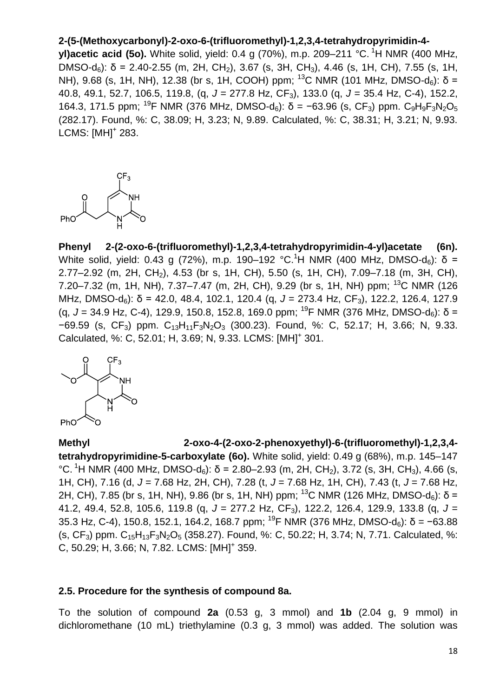# **2-(5-(Methoxycarbonyl)-2-oxo-6-(trifluoromethyl)-1,2,3,4-tetrahydropyrimidin-4-**

**yl)acetic acid (5o).** White solid, yield: 0.4 g (70%), m.p. 209–211 °C. <sup>1</sup>H NMR (400 MHz, DMSO-d<sub>6</sub>): δ = 2.40-2.55 (m, 2H, CH<sub>2</sub>), 3.67 (s, 3H, CH<sub>3</sub>), 4.46 (s, 1H, CH), 7.55 (s, 1H, NH), 9.68 (s, 1H, NH), 12.38 (br s, 1H, COOH) ppm; <sup>13</sup>C NMR (101 MHz, DMSO-d<sub>6</sub>): δ = 40.8, 49.1, 52.7, 106.5, 119.8, (q, *J* = 277.8 Hz, CF3), 133.0 (q, *J* = 35.4 Hz, C-4), 152.2, 164.3, 171.5 ppm; <sup>19</sup>F NMR (376 MHz, DMSO-d<sub>6</sub>):  $\delta$  = −63.96 (s, CF<sub>3</sub>) ppm, C<sub>9</sub>H<sub>9</sub>F<sub>3</sub>N<sub>2</sub>O<sub>5</sub> (282.17). Found, %: C, 38.09; H, 3.23; N, 9.89. Calculated, %: C, 38.31; H, 3.21; N, 9.93. LCMS: [MH]<sup>+</sup> 283.



**Phenyl 2-(2-oxo-6-(trifluoromethyl)-1,2,3,4-tetrahydropyrimidin-4-yl)acetate (6n).** White solid, yield: 0.43 g (72%), m.p. 190–192 °C.<sup>1</sup>H NMR (400 MHz, DMSO-d<sub>6</sub>): δ = 2.77–2.92 (m, 2H, CH2), 4.53 (br s, 1H, CH), 5.50 (s, 1H, CH), 7.09–7.18 (m, 3H, CH), 7.20–7.32 (m, 1H, NH), 7.37–7.47 (m, 2H, CH), 9.29 (br s, 1H, NH) ppm; <sup>13</sup>C NMR (126 MHz, DMSO-d<sub>6</sub>): δ = 42.0, 48.4, 102.1, 120.4 (g, J = 273.4 Hz, CF<sub>3</sub>), 122.2, 126.4, 127.9 (g,  $J = 34.9$  Hz, C-4), 129.9, 150.8, 152.8, 169.0 ppm; <sup>19</sup>F NMR (376 MHz, DMSO-d<sub>6</sub>):  $\delta =$ −69.59 (s, CF3) ppm. C13H11F3N2O<sup>3</sup> (300.23). Found, %: C, 52.17; H, 3.66; N, 9.33. Calculated, %: C, 52.01; H, 3.69; N, 9.33. LCMS: [MH]<sup>+</sup> 301.



## **Methyl 2-oxo-4-(2-oxo-2-phenoxyethyl)-6-(trifluoromethyl)-1,2,3,4-**

**tetrahydropyrimidine-5-carboxylate (6o).** White solid, yield: 0.49 g (68%), m.p. 145–147 °C. <sup>1</sup>H NMR (400 MHz, DMSO-d<sub>6</sub>):  $\delta$  = 2.80–2.93 (m, 2H, CH<sub>2</sub>), 3.72 (s, 3H, CH<sub>3</sub>), 4.66 (s, 1H, CH), 7.16 (d, *J* = 7.68 Hz, 2H, CH), 7.28 (t, *J* = 7.68 Hz, 1H, CH), 7.43 (t, *J* = 7.68 Hz, 2H, CH), 7.85 (br s, 1H, NH), 9.86 (br s, 1H, NH) ppm; <sup>13</sup>C NMR (126 MHz, DMSO-d<sub>6</sub>): δ = 41.2, 49.4, 52.8, 105.6, 119.8 (q, *J* = 277.2 Hz, CF3), 122.2, 126.4, 129.9, 133.8 (q, *J* = 35.3 Hz, C-4), 150.8, 152.1, 164.2, 168.7 ppm; <sup>19</sup>F NMR (376 MHz, DMSO-d<sub>6</sub>):  $\delta$  = −63.88 (s, CF<sub>3</sub>) ppm.  $C_{15}H_{13}F_3N_2O_5$  (358.27). Found, %: C, 50.22; H, 3.74; N, 7.71. Calculated, %: C, 50.29; H, 3.66; N, 7.82. LCMS: [MH]<sup>+</sup> 359.

#### **2.5. Procedure for the synthesis of compound 8a.**

To the solution of compound **2a** (0.53 g, 3 mmol) and **1b** (2.04 g, 9 mmol) in dichloromethane (10 mL) triethylamine (0.3 g, 3 mmol) was added. The solution was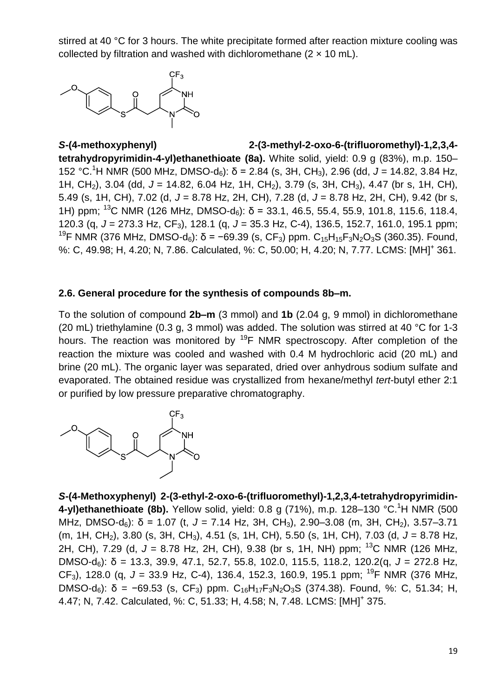stirred at 40 °C for 3 hours. The white precipitate formed after reaction mixture cooling was collected by filtration and washed with dichloromethane  $(2 \times 10 \text{ mL})$ .



*S***-(4-methoxyphenyl) 2-(3-methyl-2-oxo-6-(trifluoromethyl)-1,2,3,4 tetrahydropyrimidin-4-yl)ethanethioate (8a).** White solid, yield: 0.9 g (83%), m.p. 150– 152 °C.<sup>1</sup>H NMR (500 MHz, DMSO-d6): δ = 2.84 (s, 3H, CH3), 2.96 (dd, *J* = 14.82, 3.84 Hz, 1H, CH2), 3.04 (dd, *J* = 14.82, 6.04 Hz, 1H, CH2), 3.79 (s, 3H, CH3), 4.47 (br s, 1H, CH), 5.49 (s, 1H, CH), 7.02 (d, *J* = 8.78 Hz, 2H, CH), 7.28 (d, *J* = 8.78 Hz, 2H, CH), 9.42 (br s, 1H) ppm; <sup>13</sup>C NMR (126 MHz, DMSO-d<sub>6</sub>):  $\delta$  = 33.1, 46.5, 55.4, 55.9, 101.8, 115.6, 118.4, 120.3 (q, *J* = 273.3 Hz, CF3), 128.1 (q, *J* = 35.3 Hz, C-4), 136.5, 152.7, 161.0, 195.1 ppm; <sup>19</sup>F NMR (376 MHz, DMSO-d<sub>6</sub>): δ = -69.39 (s, CF<sub>3</sub>) ppm. C<sub>15</sub>H<sub>15</sub>F<sub>3</sub>N<sub>2</sub>O<sub>3</sub>S (360.35). Found, %: C, 49.98; H, 4.20; N, 7.86. Calculated, %: C, 50.00; H, 4.20; N, 7.77. LCMS: [MH]<sup>+</sup> 361.

## **2.6. General procedure for the synthesis of compounds 8b–m.**

To the solution of compound **2b–m** (3 mmol) and **1b** (2.04 g, 9 mmol) in dichloromethane (20 mL) triethylamine (0.3 g, 3 mmol) was added. The solution was stirred at 40 °C for 1-3 hours. The reaction was monitored by <sup>19</sup>F NMR spectroscopy. After completion of the reaction the mixture was cooled and washed with 0.4 M hydrochloric acid (20 mL) and brine (20 mL). The organic layer was separated, dried over anhydrous sodium sulfate and evaporated. The obtained residue was crystallized from hexane/methyl *tert*-butyl ether 2:1 or purified by low pressure preparative chromatography.



*S***-(4-Methoxyphenyl) 2-(3-ethyl-2-oxo-6-(trifluoromethyl)-1,2,3,4-tetrahydropyrimidin-4-yl)ethanethioate (8b).** Yellow solid, yield: 0.8 g (71%), m.p. 128–130 °C.<sup>1</sup>H NMR (500 MHz, DMSO-d<sub>6</sub>): δ = 1.07 (t, J = 7.14 Hz, 3H, CH<sub>3</sub>), 2.90–3.08 (m, 3H, CH<sub>2</sub>), 3.57–3.71 (m, 1H, CH<sub>2</sub>), 3.80 (s, 3H, CH<sub>3</sub>), 4.51 (s, 1H, CH), 5.50 (s, 1H, CH), 7.03 (d, J = 8.78 Hz, 2H, CH), 7.29 (d,  $J = 8.78$  Hz, 2H, CH), 9.38 (br s, 1H, NH) ppm; <sup>13</sup>C NMR (126 MHz, DMSO-d6): δ = 13.3, 39.9, 47.1, 52.7, 55.8, 102.0, 115.5, 118.2, 120.2(q, *J* = 272.8 Hz, CF<sub>3</sub>), 128.0 (g,  $J = 33.9$  Hz, C-4), 136.4, 152.3, 160.9, 195.1 ppm; <sup>19</sup>F NMR (376 MHz, DMSO-d<sub>6</sub>): δ = -69.53 (s, CF<sub>3</sub>) ppm. C<sub>16</sub>H<sub>17</sub>F<sub>3</sub>N<sub>2</sub>O<sub>3</sub>S (374.38). Found, %: C, 51.34; H, 4.47; N, 7.42. Calculated, %: C, 51.33; H, 4.58; N, 7.48. LCMS: [MH]<sup>+</sup> 375.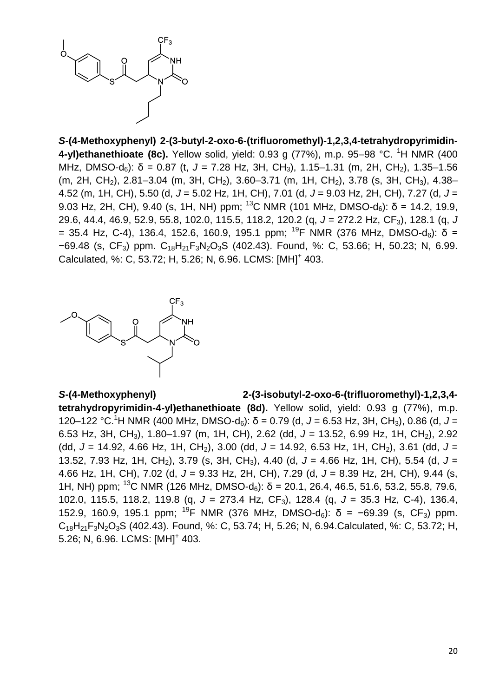

*S***-(4-Methoxyphenyl) 2-(3-butyl-2-oxo-6-(trifluoromethyl)-1,2,3,4-tetrahydropyrimidin-4-yl)ethanethioate (8c).** Yellow solid, yield: 0.93 g (77%), m.p. 95–98 °C. <sup>1</sup>H NMR (400 MHz, DMSO-d<sub>6</sub>): δ = 0.87 (t, J = 7.28 Hz, 3H, CH<sub>3</sub>), 1.15–1.31 (m, 2H, CH<sub>2</sub>), 1.35–1.56 (m, 2H, CH<sub>2</sub>), 2.81–3.04 (m, 3H, CH<sub>2</sub>), 3.60–3.71 (m, 1H, CH<sub>2</sub>), 3.78 (s, 3H, CH<sub>3</sub>), 4.38– 4.52 (m, 1H, CH), 5.50 (d, *J* = 5.02 Hz, 1H, CH), 7.01 (d, *J* = 9.03 Hz, 2H, CH), 7.27 (d, *J* = 9.03 Hz, 2H, CH), 9.40 (s, 1H, NH) ppm; <sup>13</sup>C NMR (101 MHz, DMSO-d<sub>6</sub>):  $\delta$  = 14.2, 19.9, 29.6, 44.4, 46.9, 52.9, 55.8, 102.0, 115.5, 118.2, 120.2 (q, *J* = 272.2 Hz, CF3), 128.1 (q, *J* = 35.4 Hz, C-4), 136.4, 152.6, 160.9, 195.1 ppm; <sup>19</sup>F NMR (376 MHz, DMSO-d<sub>6</sub>): δ = −69.48 (s, CF3) ppm. C18H21F3N2O3S (402.43). Found, %: C, 53.66; H, 50.23; N, 6.99. Calculated, %: C, 53.72; H, 5.26; N, 6.96. LCMS: [MH]<sup>+</sup> 403.



#### *S***-(4-Methoxyphenyl) 2-(3-isobutyl-2-oxo-6-(trifluoromethyl)-1,2,3,4-**

**tetrahydropyrimidin-4-yl)ethanethioate (8d).** Yellow solid, yield: 0.93 g (77%), m.p. 120–122 °C.<sup>1</sup>H NMR (400 MHz, DMSO-d6): δ = 0.79 (d, *J* = 6.53 Hz, 3H, CH3), 0.86 (d, *J* = 6.53 Hz, 3H, CH3), 1.80–1.97 (m, 1H, CH), 2.62 (dd, *J* = 13.52, 6.99 Hz, 1H, CH2), 2.92 (dd, *J* = 14.92, 4.66 Hz, 1H, CH2), 3.00 (dd, *J* = 14.92, 6.53 Hz, 1H, CH2), 3.61 (dd, *J* = 13.52, 7.93 Hz, 1H, CH<sub>2</sub>), 3.79 (s, 3H, CH<sub>3</sub>), 4.40 (d, J = 4.66 Hz, 1H, CH), 5.54 (d, J = 4.66 Hz, 1H, CH), 7.02 (d, *J* = 9.33 Hz, 2H, CH), 7.29 (d, *J* = 8.39 Hz, 2H, CH), 9.44 (s, 1H, NH) ppm; <sup>13</sup>C NMR (126 MHz, DMSO-d<sub>6</sub>):  $\delta$  = 20.1, 26.4, 46.5, 51.6, 53.2, 55.8, 79.6, 102.0, 115.5, 118.2, 119.8 (q, *J* = 273.4 Hz, CF3), 128.4 (q, *J* = 35.3 Hz, C-4), 136.4, 152.9, 160.9, 195.1 ppm; <sup>19</sup>F NMR (376 MHz, DMSO-d<sub>6</sub>):  $\delta$  = −69.39 (s, CF<sub>3</sub>) ppm.  $C_{18}H_{21}F_3N_2O_3S$  (402.43). Found, %: C, 53.74; H, 5.26; N, 6.94.Calculated, %: C, 53.72; H, 5.26; N, 6.96. LCMS: [MH]<sup>+</sup> 403.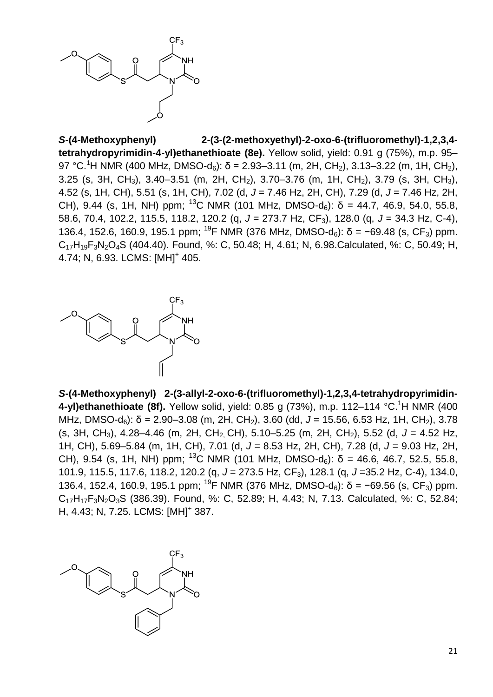

*S***-(4-Methoxyphenyl) 2-(3-(2-methoxyethyl)-2-oxo-6-(trifluoromethyl)-1,2,3,4 tetrahydropyrimidin-4-yl)ethanethioate (8e).** Yellow solid, yield: 0.91 g (75%), m.p. 95– 97 °C.<sup>1</sup>H NMR (400 MHz, DMSO-d<sub>6</sub>): δ = 2.93–3.11 (m, 2H, CH<sub>2</sub>), 3.13–3.22 (m, 1H, CH<sub>2</sub>), 3.25 (s, 3H, CH<sub>3</sub>), 3.40–3.51 (m, 2H, CH<sub>2</sub>), 3.70–3.76 (m, 1H, CH<sub>2</sub>), 3.79 (s, 3H, CH<sub>3</sub>), 4.52 (s, 1H, CH), 5.51 (s, 1H, CH), 7.02 (d, *J* = 7.46 Hz, 2H, CH), 7.29 (d, *J* = 7.46 Hz, 2H, CH), 9.44 (s, 1H, NH) ppm; <sup>13</sup>C NMR (101 MHz, DMSO-d<sub>6</sub>):  $\delta$  = 44.7, 46.9, 54.0, 55.8, 58.6, 70.4, 102.2, 115.5, 118.2, 120.2 (q, *J* = 273.7 Hz, CF3), 128.0 (q, *J* = 34.3 Hz, C-4), 136.4, 152.6, 160.9, 195.1 ppm; <sup>19</sup>F NMR (376 MHz, DMSO-d<sub>6</sub>):  $\delta$  = −69.48 (s, CF<sub>3</sub>) ppm.  $C_{17}H_{19}F_3N_2O_4S$  (404.40). Found, %: C, 50.48; H, 4.61; N, 6.98.Calculated, %: C, 50.49; H, 4.74; N, 6.93. LCMS: [MH]<sup>+</sup> 405.



*S***-(4-Methoxyphenyl) 2-(3-allyl-2-oxo-6-(trifluoromethyl)-1,2,3,4-tetrahydropyrimidin-4-yl)ethanethioate (8f).** Yellow solid, yield: 0.85 g (73%), m.p. 112–114 °C.<sup>1</sup>H NMR (400 MHz, DMSO-d<sub>6</sub>): δ = 2.90–3.08 (m, 2H, CH<sub>2</sub>), 3.60 (dd, J = 15.56, 6.53 Hz, 1H, CH<sub>2</sub>), 3.78 (s, 3H, CH3), 4.28–4.46 (m, 2H, CH2, CH), 5.10–5.25 (m, 2H, CH2), 5.52 (d, *J* = 4.52 Hz, 1H, CH), 5.69–5.84 (m, 1H, CH), 7.01 (d, *J* = 8.53 Hz, 2H, CH), 7.28 (d, *J* = 9.03 Hz, 2H, CH), 9.54 (s, 1H, NH) ppm; <sup>13</sup>C NMR (101 MHz, DMSO-d<sub>6</sub>): δ = 46.6, 46.7, 52.5, 55.8, 101.9, 115.5, 117.6, 118.2, 120.2 (q, *J* = 273.5 Hz, CF3), 128.1 (q, *J* =35.2 Hz, C-4), 134.0, 136.4, 152.4, 160.9, 195.1 ppm; <sup>19</sup>F NMR (376 MHz, DMSO-d<sub>6</sub>):  $\delta$  = −69.56 (s, CF<sub>3</sub>) ppm. C17H17F3N2O3S (386.39). Found, %: C, 52.89; H, 4.43; N, 7.13. Calculated, %: C, 52.84; H, 4.43; N, 7.25. LCMS: [MH]<sup>+</sup> 387.

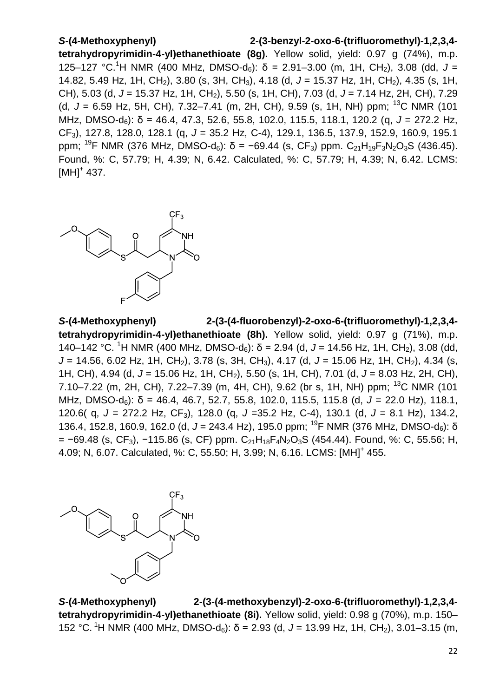# *S***-(4-Methoxyphenyl) 2-(3-benzyl-2-oxo-6-(trifluoromethyl)-1,2,3,4 tetrahydropyrimidin-4-yl)ethanethioate (8g).** Yellow solid, yield: 0.97 g (74%), m.p. 125–127 °C.<sup>1</sup>H NMR (400 MHz, DMSO-d<sub>6</sub>): δ = 2.91–3.00 (m, 1H, CH<sub>2</sub>), 3.08 (dd, J = 14.82, 5.49 Hz, 1H, CH<sub>2</sub>), 3.80 (s, 3H, CH<sub>3</sub>), 4.18 (d, J = 15.37 Hz, 1H, CH<sub>2</sub>), 4.35 (s, 1H, CH), 5.03 (d, *J* = 15.37 Hz, 1H, CH2), 5.50 (s, 1H, CH), 7.03 (d, *J* = 7.14 Hz, 2H, CH), 7.29 (d, *J* = 6.59 Hz, 5H, CH), 7.32–7.41 (m, 2H, CH), 9.59 (s, 1H, NH) ppm; <sup>13</sup>C NMR (101 MHz, DMSO-d<sub>6</sub>): δ = 46.4, 47.3, 52.6, 55.8, 102.0, 115.5, 118.1, 120.2 (g, J = 272.2 Hz, CF3), 127.8, 128.0, 128.1 (q, *J* = 35.2 Hz, C-4), 129.1, 136.5, 137.9, 152.9, 160.9, 195.1 ppm; <sup>19</sup>F NMR (376 MHz, DMSO-d<sub>6</sub>): δ = −69.44 (s, CF<sub>3</sub>) ppm. C<sub>21</sub>H<sub>19</sub>F<sub>3</sub>N<sub>2</sub>O<sub>3</sub>S (436.45). Found, %: C, 57.79; H, 4.39; N, 6.42. Calculated, %: C, 57.79; H, 4.39; N, 6.42. LCMS:  $[MH]$ <sup>+</sup> 437.



*S***-(4-Methoxyphenyl) 2-(3-(4-fluorobenzyl)-2-oxo-6-(trifluoromethyl)-1,2,3,4 tetrahydropyrimidin-4-yl)ethanethioate (8h).** Yellow solid, yield: 0.97 g (71%), m.p. 140–142 °C. <sup>1</sup>H NMR (400 MHz, DMSO-d<sub>6</sub>): δ = 2.94 (d, J = 14.56 Hz, 1H, CH<sub>2</sub>), 3.08 (dd, *J* = 14.56, 6.02 Hz, 1H, CH<sub>2</sub>), 3.78 (s, 3H, CH<sub>3</sub>), 4.17 (d, *J* = 15.06 Hz, 1H, CH<sub>2</sub>), 4.34 (s, 1H, CH), 4.94 (d, *J* = 15.06 Hz, 1H, CH2), 5.50 (s, 1H, CH), 7.01 (d, *J* = 8.03 Hz, 2H, CH), 7.10–7.22 (m, 2H, CH), 7.22–7.39 (m, 4H, CH), 9.62 (br s, 1H, NH) ppm; <sup>13</sup>C NMR (101 MHz, DMSO-d6): δ = 46.4, 46.7, 52.7, 55.8, 102.0, 115.5, 115.8 (d, *J* = 22.0 Hz), 118.1, 120.6( q, *J* = 272.2 Hz, CF3), 128.0 (q, *J* =35.2 Hz, C-4), 130.1 (d, *J* = 8.1 Hz), 134.2, 136.4, 152.8, 160.9, 162.0 (d, J = 243.4 Hz), 195.0 ppm; <sup>19</sup>F NMR (376 MHz, DMSO-d<sub>6</sub>): δ  $= -69.48$  (s, CF<sub>3</sub>),  $-115.86$  (s, CF) ppm. C<sub>21</sub>H<sub>18</sub>F<sub>4</sub>N<sub>2</sub>O<sub>3</sub>S (454.44). Found, %: C, 55.56; H, 4.09; N, 6.07. Calculated, %: C, 55.50; H, 3.99; N, 6.16. LCMS: [MH]<sup>+</sup> 455.



*S***-(4-Methoxyphenyl) 2-(3-(4-methoxybenzyl)-2-oxo-6-(trifluoromethyl)-1,2,3,4 tetrahydropyrimidin-4-yl)ethanethioate (8i).** Yellow solid, yield: 0.98 g (70%), m.p. 150– 152 °C. <sup>1</sup>H NMR (400 MHz, DMSO-d<sub>6</sub>): δ = 2.93 (d, J = 13.99 Hz, 1H, CH<sub>2</sub>), 3.01–3.15 (m,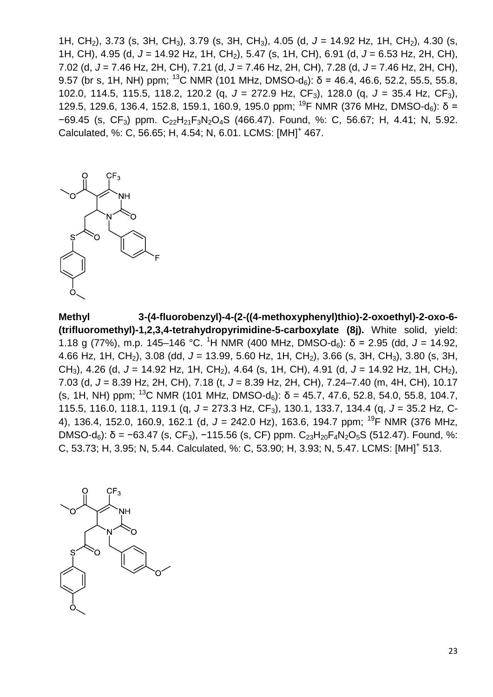1H, CH<sub>2</sub>), 3.73 (s, 3H, CH<sub>3</sub>), 3.79 (s, 3H, CH<sub>3</sub>), 4.05 (d, J = 14.92 Hz, 1H, CH<sub>2</sub>), 4.30 (s, 1H, CH), 4.95 (d, *J* = 14.92 Hz, 1H, CH2), 5.47 (s, 1H, CH), 6.91 (d, *J* = 6.53 Hz, 2H, CH), 7.02 (d, *J* = 7.46 Hz, 2H, CH), 7.21 (d, *J* = 7.46 Hz, 2H, CH), 7.28 (d, *J* = 7.46 Hz, 2H, CH), 9.57 (br s, 1H, NH) ppm; <sup>13</sup>C NMR (101 MHz, DMSO-d<sub>6</sub>): δ = 46.4, 46.6, 52.2, 55.5, 55.8, 102.0, 114.5, 115.5, 118.2, 120.2 (q, *J* = 272.9 Hz, CF3), 128.0 (q, *J* = 35.4 Hz, CF3), 129.5, 129.6, 136.4, 152.8, 159.1, 160.9, 195.0 ppm; <sup>19</sup>F NMR (376 MHz, DMSO-d<sub>6</sub>): δ =  $-69.45$  (s, CF<sub>3</sub>) ppm. C<sub>22</sub>H<sub>21</sub>F<sub>3</sub>N<sub>2</sub>O<sub>4</sub>S (466.47). Found, %: C, 56.67; H, 4.41; N, 5.92. Calculated, %: C, 56.65; H, 4.54; N, 6.01. LCMS: [MH]<sup>+</sup> 467.



**Methyl 3-(4-fluorobenzyl)-4-(2-((4-methoxyphenyl)thio)-2-oxoethyl)-2-oxo-6- (trifluoromethyl)-1,2,3,4-tetrahydropyrimidine-5-carboxylate (8j).** White solid, yield: 1.18 g (77%), m.p. 145–146 °C. <sup>1</sup>H NMR (400 MHz, DMSO-d<sub>6</sub>): δ = 2.95 (dd, J = 14.92, 4.66 Hz, 1H, CH<sub>2</sub>), 3.08 (dd, J = 13.99, 5.60 Hz, 1H, CH<sub>2</sub>), 3.66 (s, 3H, CH<sub>3</sub>), 3.80 (s, 3H, CH<sub>3</sub>), 4.26 (d, J = 14.92 Hz, 1H, CH<sub>2</sub>), 4.64 (s, 1H, CH), 4.91 (d, J = 14.92 Hz, 1H, CH<sub>2</sub>), 7.03 (d, *J* = 8.39 Hz, 2H, CH), 7.18 (t, *J* = 8.39 Hz, 2H, CH), 7.24–7.40 (m, 4H, CH), 10.17 (s, 1H, NH) ppm; <sup>13</sup>C NMR (101 MHz, DMSO-d<sub>6</sub>):  $\delta$  = 45.7, 47.6, 52.8, 54.0, 55.8, 104.7, 115.5, 116.0, 118.1, 119.1 (q, *J* = 273.3 Hz, CF3), 130.1, 133.7, 134.4 (q, *J* = 35.2 Hz, C-4), 136.4, 152.0, 160.9, 162.1 (d, *J* = 242.0 Hz), 163.6, 194.7 ppm; <sup>19</sup>F NMR (376 MHz, DMSO-d<sub>6</sub>): δ = −63.47 (s, CF<sub>3</sub>), −115.56 (s, CF) ppm. C<sub>23</sub>H<sub>20</sub>F<sub>4</sub>N<sub>2</sub>O<sub>5</sub>S (512.47). Found, %: C, 53.73; H, 3.95; N, 5.44. Calculated, %: C, 53.90; H, 3.93; N, 5.47. LCMS: [MH]<sup>+</sup> 513.

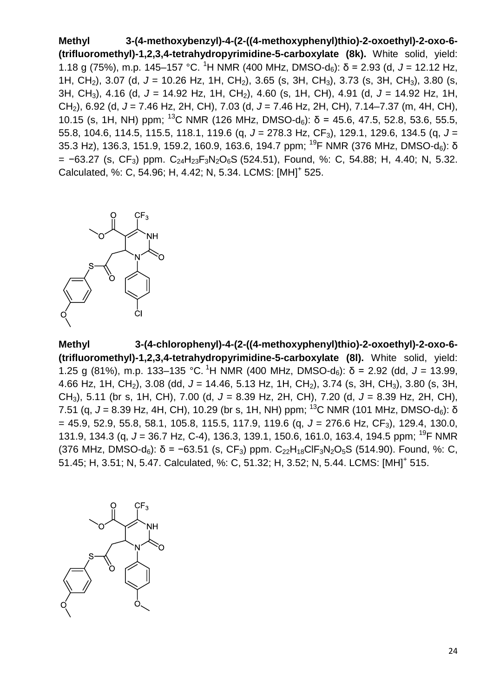**Methyl 3-(4-methoxybenzyl)-4-(2-((4-methoxyphenyl)thio)-2-oxoethyl)-2-oxo-6- (trifluoromethyl)-1,2,3,4-tetrahydropyrimidine-5-carboxylate (8k).** White solid, yield: 1.18 g (75%), m.p. 145–157 °C. <sup>1</sup>H NMR (400 MHz, DMSO-d<sub>6</sub>): δ = 2.93 (d, J = 12.12 Hz, 1H, CH<sub>2</sub>), 3.07 (d, J = 10.26 Hz, 1H, CH<sub>2</sub>), 3.65 (s, 3H, CH<sub>3</sub>), 3.73 (s, 3H, CH<sub>3</sub>), 3.80 (s, 3H, CH3), 4.16 (d, *J* = 14.92 Hz, 1H, CH2), 4.60 (s, 1H, CH), 4.91 (d, *J* = 14.92 Hz, 1H, CH2), 6.92 (d, *J* = 7.46 Hz, 2H, CH), 7.03 (d, *J* = 7.46 Hz, 2H, CH), 7.14–7.37 (m, 4H, CH), 10.15 (s, 1H, NH) ppm; <sup>13</sup>C NMR (126 MHz, DMSO-d<sub>6</sub>):  $\delta$  = 45.6, 47.5, 52.8, 53.6, 55.5, 55.8, 104.6, 114.5, 115.5, 118.1, 119.6 (q, *J* = 278.3 Hz, CF3), 129.1, 129.6, 134.5 (q, *J* = 35.3 Hz), 136.3, 151.9, 159.2, 160.9, 163.6, 194.7 ppm; <sup>19</sup>F NMR (376 MHz, DMSO-d<sub>6</sub>): δ  $= -63.27$  (s, CF<sub>3</sub>) ppm. C<sub>24</sub>H<sub>23</sub>F<sub>3</sub>N<sub>2</sub>O<sub>6</sub>S (524.51), Found, %: C, 54.88; H, 4.40; N, 5.32. Calculated, %: C, 54.96; H, 4.42; N, 5.34. LCMS: [MH]<sup>+</sup> 525.



**Methyl 3-(4-chlorophenyl)-4-(2-((4-methoxyphenyl)thio)-2-oxoethyl)-2-oxo-6- (trifluoromethyl)-1,2,3,4-tetrahydropyrimidine-5-carboxylate (8l).** White solid, yield: 1.25 g (81%), m.p. 133–135 °C. <sup>1</sup>H NMR (400 MHz, DMSO-d<sub>6</sub>): δ = 2.92 (dd, *J* = 13.99, 4.66 Hz, 1H, CH2), 3.08 (dd, *J* = 14.46, 5.13 Hz, 1H, CH2), 3.74 (s, 3H, CH3), 3.80 (s, 3H, CH3), 5.11 (br s, 1H, CH), 7.00 (d, *J* = 8.39 Hz, 2H, CH), 7.20 (d, *J* = 8.39 Hz, 2H, CH), 7.51 (g,  $J = 8.39$  Hz, 4H, CH), 10.29 (br s, 1H, NH) ppm; <sup>13</sup>C NMR (101 MHz, DMSO-d<sub>6</sub>): δ = 45.9, 52.9, 55.8, 58.1, 105.8, 115.5, 117.9, 119.6 (q, *J* = 276.6 Hz, CF3), 129.4, 130.0, 131.9, 134.3 (q, *J* = 36.7 Hz, C-4), 136.3, 139.1, 150.6, 161.0, 163.4, 194.5 ppm; <sup>19</sup>F NMR (376 MHz, DMSO-d<sub>6</sub>):  $\delta$  = -63.51 (s, CF<sub>3</sub>) ppm. C<sub>22</sub>H<sub>18</sub>ClF<sub>3</sub>N<sub>2</sub>O<sub>5</sub>S (514.90). Found, %: C, 51.45; H, 3.51; N, 5.47. Calculated, %: C, 51.32; H, 3.52; N, 5.44. LCMS: [MH]<sup>+</sup> 515.

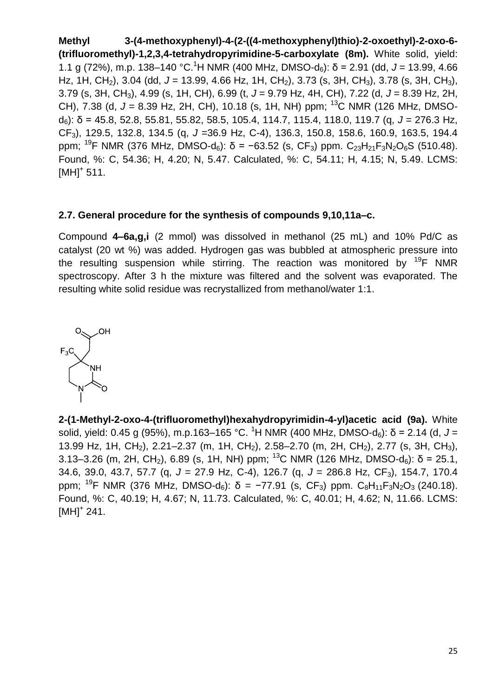**Methyl 3-(4-methoxyphenyl)-4-(2-((4-methoxyphenyl)thio)-2-oxoethyl)-2-oxo-6- (trifluoromethyl)-1,2,3,4-tetrahydropyrimidine-5-carboxylate (8m).** White solid, yield: 1.1 g (72%), m.p. 138–140 °C.<sup>1</sup>H NMR (400 MHz, DMSO-d<sub>6</sub>): δ = 2.91 (dd, J = 13.99, 4.66 Hz, 1H, CH<sub>2</sub>), 3.04 (dd, J = 13.99, 4.66 Hz, 1H, CH<sub>2</sub>), 3.73 (s, 3H, CH<sub>3</sub>), 3.78 (s, 3H, CH<sub>3</sub>), 3.79 (s, 3H, CH3), 4.99 (s, 1H, CH), 6.99 (t, *J* = 9.79 Hz, 4H, CH), 7.22 (d, *J* = 8.39 Hz, 2H, CH), 7.38 (d, *J* = 8.39 Hz, 2H, CH), 10.18 (s, 1H, NH) ppm; <sup>13</sup>C NMR (126 MHz, DMSOd6): δ = 45.8, 52.8, 55.81, 55.82, 58.5, 105.4, 114.7, 115.4, 118.0, 119.7 (q, *J* = 276.3 Hz, CF3), 129.5, 132.8, 134.5 (q, *J* =36.9 Hz, C-4), 136.3, 150.8, 158.6, 160.9, 163.5, 194.4 ppm; <sup>19</sup>F NMR (376 MHz, DMSO-d<sub>6</sub>): δ = −63.52 (s, CF<sub>3</sub>) ppm. C<sub>23</sub>H<sub>21</sub>F<sub>3</sub>N<sub>2</sub>O<sub>6</sub>S (510.48). Found, %: C, 54.36; H, 4.20; N, 5.47. Calculated, %: C, 54.11; H, 4.15; N, 5.49. LCMS:  $[MH]^{+}$  511.

## **2.7. General procedure for the synthesis of compounds 9,10,11a–c.**

Compound **4–6a,g,i** (2 mmol) was dissolved in methanol (25 mL) and 10% Pd/C as catalyst (20 wt %) was added. Hydrogen gas was bubbled at atmospheric pressure into the resulting suspension while stirring. The reaction was monitored by  $^{19}F$  NMR spectroscopy. After 3 h the mixture was filtered and the solvent was evaporated. The resulting white solid residue was recrystallized from methanol/water 1:1.



**2-(1-Methyl-2-oxo-4-(trifluoromethyl)hexahydropyrimidin-4-yl)acetic acid (9a).** White solid, yield: 0.45 g (95%), m.p.163–165 °C. <sup>1</sup>H NMR (400 MHz, DMSO-d<sub>6</sub>): δ = 2.14 (d, J = 13.99 Hz, 1H, CH<sub>2</sub>), 2.21–2.37 (m, 1H, CH<sub>2</sub>), 2.58–2.70 (m, 2H, CH<sub>2</sub>), 2.77 (s, 3H, CH<sub>3</sub>), 3.13–3.26 (m, 2H, CH<sub>2</sub>), 6.89 (s, 1H, NH) ppm; <sup>13</sup>C NMR (126 MHz, DMSO-d<sub>6</sub>):  $\delta$  = 25.1, 34.6, 39.0, 43.7, 57.7 (q, *J* = 27.9 Hz, C-4), 126.7 (q, *J* = 286.8 Hz, CF3), 154.7, 170.4 ppm; <sup>19</sup>F NMR (376 MHz, DMSO-d<sub>6</sub>):  $\delta$  = -77.91 (s, CF<sub>3</sub>) ppm. C<sub>8</sub>H<sub>11</sub>F<sub>3</sub>N<sub>2</sub>O<sub>3</sub> (240.18). Found, %: C, 40.19; H, 4.67; N, 11.73. Calculated, %: C, 40.01; H, 4.62; N, 11.66. LCMS:  $[MH]$ <sup>+</sup> 241.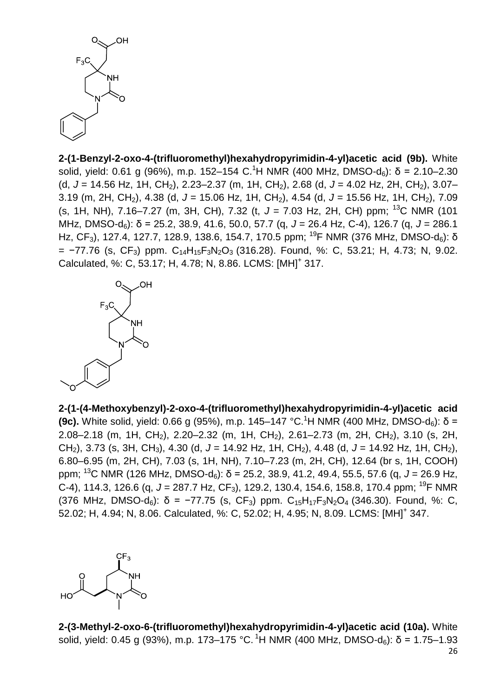

**2-(1-Benzyl-2-oxo-4-(trifluoromethyl)hexahydropyrimidin-4-yl)acetic acid (9b).** White solid, yield: 0.61 g (96%), m.p. 152–154 C.<sup>1</sup>H NMR (400 MHz, DMSO-d<sub>6</sub>): δ = 2.10–2.30 (d, *J* = 14.56 Hz, 1H, CH2), 2.23–2.37 (m, 1H, CH2), 2.68 (d, *J* = 4.02 Hz, 2H, CH2), 3.07– 3.19 (m, 2H, CH2), 4.38 (d, *J* = 15.06 Hz, 1H, CH2), 4.54 (d, *J* = 15.56 Hz, 1H, CH2), 7.09 (s, 1H, NH), 7.16–7.27 (m, 3H, CH), 7.32 (t, *J* = 7.03 Hz, 2H, CH) ppm; <sup>13</sup>C NMR (101 MHz, DMSO-d6): δ = 25.2, 38.9, 41.6, 50.0, 57.7 (q, *J* = 26.4 Hz, C-4), 126.7 (q, *J* = 286.1 Hz, CF<sub>3</sub>), 127.4, 127.7, 128.9, 138.6, 154.7, 170.5 ppm; <sup>19</sup>F NMR (376 MHz, DMSO-d<sub>6</sub>): δ  $= -77.76$  (s, CF<sub>3</sub>) ppm. C<sub>14</sub>H<sub>15</sub>F<sub>3</sub>N<sub>2</sub>O<sub>3</sub> (316.28). Found, %: C, 53.21; H, 4.73; N, 9.02. Calculated, %: C, 53.17; H, 4.78; N, 8.86. LCMS: [MH]<sup>+</sup> 317.



**2-(1-(4-Methoxybenzyl)-2-oxo-4-(trifluoromethyl)hexahydropyrimidin-4-yl)acetic acid (9c).** White solid, yield: 0.66 g (95%), m.p. 145–147 °C.<sup>1</sup>H NMR (400 MHz, DMSO-d<sub>6</sub>):  $\delta$  = 2.08–2.18 (m, 1H, CH2), 2.20–2.32 (m, 1H, CH2), 2.61–2.73 (m, 2H, CH2), 3.10 (s, 2H, CH2), 3.73 (s, 3H, CH3), 4.30 (d, *J* = 14.92 Hz, 1H, CH2), 4.48 (d, *J* = 14.92 Hz, 1H, CH2), 6.80–6.95 (m, 2H, CH), 7.03 (s, 1H, NH), 7.10–7.23 (m, 2H, CH), 12.64 (br s, 1H, COOH) ppm; <sup>13</sup>C NMR (126 MHz, DMSO-d6): δ = 25.2, 38.9, 41.2, 49.4, 55.5, 57.6 (q, *J* = 26.9 Hz, C-4), 114.3, 126.6 (g, J = 287.7 Hz, CF<sub>3</sub>), 129.2, 130.4, 154.6, 158.8, 170.4 ppm; <sup>19</sup>F NMR (376 MHz, DMSO-d<sub>6</sub>):  $\delta$  = −77.75 (s, CF<sub>3</sub>) ppm. C<sub>15</sub>H<sub>17</sub>F<sub>3</sub>N<sub>2</sub>O<sub>4</sub> (346.30). Found, %: C, 52.02; H, 4.94; N, 8.06. Calculated, %: C, 52.02; H, 4.95; N, 8.09. LCMS: [MH]<sup>+</sup> 347.



**2-(3-Methyl-2-oxo-6-(trifluoromethyl)hexahydropyrimidin-4-yl)acetic acid (10a).** White solid, yield: 0.45 g (93%), m.p. 173–175 °C. <sup>1</sup>H NMR (400 MHz, DMSO-d<sub>6</sub>): δ = 1.75–1.93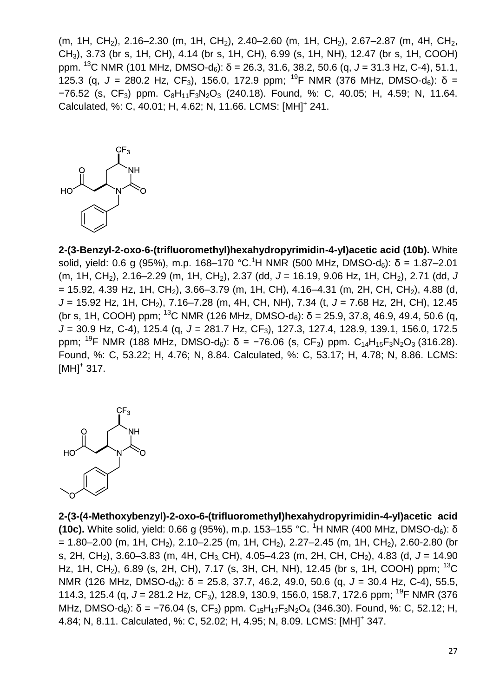(m, 1H, CH<sub>2</sub>), 2.16–2.30 (m, 1H, CH<sub>2</sub>), 2.40–2.60 (m, 1H, CH<sub>2</sub>), 2.67–2.87 (m, 4H, CH<sub>2</sub>, CH3), 3.73 (br s, 1H, CH), 4.14 (br s, 1H, CH), 6.99 (s, 1H, NH), 12.47 (br s, 1H, COOH) ppm. <sup>13</sup>C NMR (101 MHz, DMSO-d6): δ = 26.3, 31.6, 38.2, 50.6 (q, *J* = 31.3 Hz, C-4), 51.1, 125.3 (q,  $J = 280.2$  Hz, CF<sub>3</sub>), 156.0, 172.9 ppm; <sup>19</sup>F NMR (376 MHz, DMSO-d<sub>6</sub>): δ =  $-76.52$  (s,  $CF_3$ ) ppm.  $C_8H_{11}F_3N_2O_3$  (240.18). Found, %: C, 40.05; H, 4.59; N, 11.64. Calculated, %: C, 40.01; H, 4.62; N, 11.66. LCMS: [MH]<sup>+</sup> 241.



**2-(3-Benzyl-2-oxo-6-(trifluoromethyl)hexahydropyrimidin-4-yl)acetic acid (10b).** White solid, yield: 0.6 g (95%), m.p. 168–170 °C.<sup>1</sup>H NMR (500 MHz, DMSO-d<sub>6</sub>): δ = 1.87–2.01 (m, 1H, CH<sub>2</sub>), 2.16–2.29 (m, 1H, CH<sub>2</sub>), 2.37 (dd, J = 16.19, 9.06 Hz, 1H, CH<sub>2</sub>), 2.71 (dd, J  $= 15.92$ , 4.39 Hz, 1H, CH<sub>2</sub>), 3.66–3.79 (m, 1H, CH), 4.16–4.31 (m, 2H, CH, CH<sub>2</sub>), 4.88 (d, *J* = 15.92 Hz, 1H, CH2), 7.16–7.28 (m, 4H, CH, NH), 7.34 (t, *J* = 7.68 Hz, 2H, CH), 12.45 (br s, 1H, COOH) ppm; <sup>13</sup>C NMR (126 MHz, DMSO-d<sub>6</sub>):  $\delta$  = 25.9, 37.8, 46.9, 49.4, 50.6 (q, *J* = 30.9 Hz, C-4), 125.4 (q, *J* = 281.7 Hz, CF3), 127.3, 127.4, 128.9, 139.1, 156.0, 172.5 ppm; <sup>19</sup>F NMR (188 MHz, DMSO-d<sub>6</sub>): δ = −76.06 (s, CF<sub>3</sub>) ppm. C<sub>14</sub>H<sub>15</sub>F<sub>3</sub>N<sub>2</sub>O<sub>3</sub> (316.28). Found, %: C, 53.22; H, 4.76; N, 8.84. Calculated, %: C, 53.17; H, 4.78; N, 8.86. LCMS:  $[MH]$ <sup>+</sup> 317.



**2-(3-(4-Methoxybenzyl)-2-oxo-6-(trifluoromethyl)hexahydropyrimidin-4-yl)acetic acid (10c).** White solid, yield: 0.66 g (95%), m.p. 153–155 °C. <sup>1</sup>H NMR (400 MHz, DMSO-d<sub>6</sub>): δ  $= 1.80 - 2.00$  (m, 1H, CH<sub>2</sub>), 2.10–2.25 (m, 1H, CH<sub>2</sub>), 2.27–2.45 (m, 1H, CH<sub>2</sub>), 2.60-2.80 (br s, 2H, CH2), 3.60–3.83 (m, 4H, CH3, CH), 4.05–4.23 (m, 2H, CH, CH2), 4.83 (d, *J* = 14.90 Hz, 1H, CH<sub>2</sub>), 6.89 (s, 2H, CH), 7.17 (s, 3H, CH, NH), 12.45 (br s, 1H, COOH) ppm; <sup>13</sup>C NMR (126 MHz, DMSO-d<sub>6</sub>): δ = 25.8, 37.7, 46.2, 49.0, 50.6 (q, J = 30.4 Hz, C-4), 55.5, 114.3, 125.4 (g, J = 281.2 Hz, CF<sub>3</sub>), 128.9, 130.9, 156.0, 158.7, 172.6 ppm; <sup>19</sup>F NMR (376 MHz, DMSO-d<sub>6</sub>): δ = -76.04 (s, CF<sub>3</sub>) ppm. C<sub>15</sub>H<sub>17</sub>F<sub>3</sub>N<sub>2</sub>O<sub>4</sub> (346.30). Found, %: C, 52.12; H, 4.84; N, 8.11. Calculated, %: C, 52.02; H, 4.95; N, 8.09. LCMS: [MH]<sup>+</sup> 347.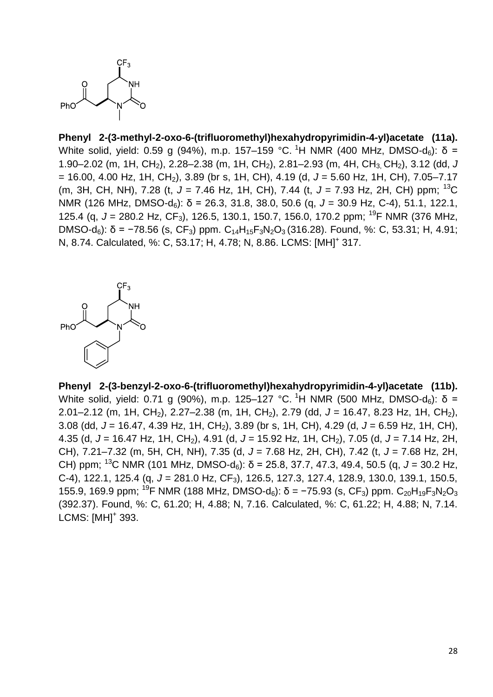

**Phenyl 2-(3-methyl-2-oxo-6-(trifluoromethyl)hexahydropyrimidin-4-yl)acetate (11a).** White solid, yield: 0.59 g (94%), m.p. 157–159 °C, <sup>1</sup>H NMR (400 MHz, DMSO-d<sub>6</sub>): δ = 1.90–2.02 (m, 1H, CH2), 2.28–2.38 (m, 1H, CH2), 2.81–2.93 (m, 4H, CH3, CH2), 3.12 (dd, *J*  $= 16.00, 4.00$  Hz, 1H, CH<sub>2</sub>), 3.89 (br s, 1H, CH), 4.19 (d,  $J = 5.60$  Hz, 1H, CH), 7.05–7.17 (m, 3H, CH, NH), 7.28 (t, *J* = 7.46 Hz, 1H, CH), 7.44 (t, *J* = 7.93 Hz, 2H, CH) ppm; <sup>13</sup>C NMR (126 MHz, DMSO-d<sub>6</sub>): δ = 26.3, 31.8, 38.0, 50.6 (q, *J* = 30.9 Hz, C-4), 51.1, 122.1, 125.4 (g, J = 280.2 Hz, CF<sub>3</sub>), 126.5, 130.1, 150.7, 156.0, 170.2 ppm; <sup>19</sup>F NMR (376 MHz, DMSO-d<sub>6</sub>): δ = -78.56 (s, CF<sub>3</sub>) ppm. C<sub>14</sub>H<sub>15</sub>F<sub>3</sub>N<sub>2</sub>O<sub>3</sub> (316.28). Found, %: C, 53.31; H, 4.91; N, 8.74. Calculated, %: C, 53.17; H, 4.78; N, 8.86. LCMS: [MH]<sup>+</sup> 317.



**Phenyl 2-(3-benzyl-2-oxo-6-(trifluoromethyl)hexahydropyrimidin-4-yl)acetate (11b).** White solid, yield: 0.71 g (90%), m.p. 125–127 °C. <sup>1</sup>H NMR (500 MHz, DMSO-d<sub>6</sub>): δ = 2.01–2.12 (m, 1H, CH<sub>2</sub>), 2.27–2.38 (m, 1H, CH<sub>2</sub>), 2.79 (dd, J = 16.47, 8.23 Hz, 1H, CH<sub>2</sub>), 3.08 (dd, *J* = 16.47, 4.39 Hz, 1H, CH2), 3.89 (br s, 1H, CH), 4.29 (d, *J* = 6.59 Hz, 1H, CH), 4.35 (d, J = 16.47 Hz, 1H, CH<sub>2</sub>), 4.91 (d, J = 15.92 Hz, 1H, CH<sub>2</sub>), 7.05 (d, J = 7.14 Hz, 2H, CH), 7.21–7.32 (m, 5H, CH, NH), 7.35 (d, *J* = 7.68 Hz, 2H, CH), 7.42 (t, *J* = 7.68 Hz, 2H, CH) ppm; <sup>13</sup>C NMR (101 MHz, DMSO-d<sub>6</sub>): δ = 25.8, 37.7, 47.3, 49.4, 50.5 (q, *J* = 30.2 Hz, C-4), 122.1, 125.4 (q, *J* = 281.0 Hz, CF3), 126.5, 127.3, 127.4, 128.9, 130.0, 139.1, 150.5, 155.9, 169.9 ppm; <sup>19</sup>F NMR (188 MHz, DMSO-d<sub>6</sub>): δ = -75.93 (s, CF<sub>3</sub>) ppm. C<sub>20</sub>H<sub>19</sub>F<sub>3</sub>N<sub>2</sub>O<sub>3</sub> (392.37). Found, %: C, 61.20; H, 4.88; N, 7.16. Calculated, %: C, 61.22; H, 4.88; N, 7.14. LCMS: [MH]<sup>+</sup> 393.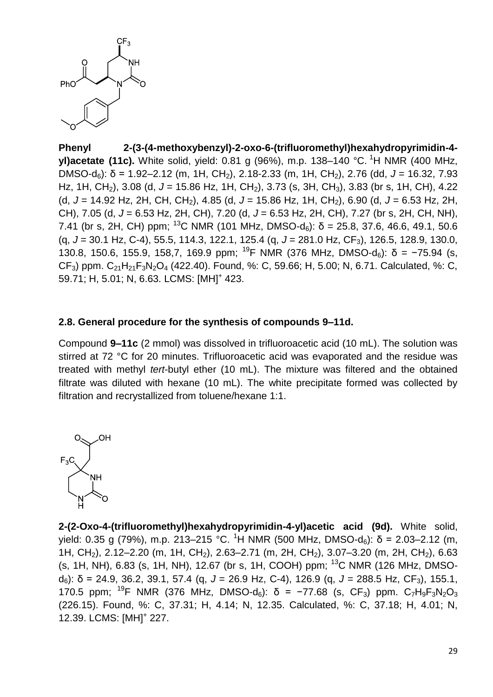

**Phenyl 2-(3-(4-methoxybenzyl)-2-oxo-6-(trifluoromethyl)hexahydropyrimidin-4 yl)acetate (11c).** White solid, yield: 0.81 g (96%), m.p. 138–140 °C. <sup>1</sup>H NMR (400 MHz, DMSO-d<sub>6</sub>): δ = 1.92–2.12 (m, 1H, CH<sub>2</sub>), 2.18-2.33 (m, 1H, CH<sub>2</sub>), 2.76 (dd, J = 16.32, 7.93 Hz, 1H, CH<sub>2</sub>), 3.08 (d, J = 15.86 Hz, 1H, CH<sub>2</sub>), 3.73 (s, 3H, CH<sub>3</sub>), 3.83 (br s, 1H, CH), 4.22 (d, *J* = 14.92 Hz, 2H, CH, CH2), 4.85 (d, *J* = 15.86 Hz, 1H, CH2), 6.90 (d, *J* = 6.53 Hz, 2H, CH), 7.05 (d, *J* = 6.53 Hz, 2H, CH), 7.20 (d, *J* = 6.53 Hz, 2H, CH), 7.27 (br s, 2H, CH, NH), 7.41 (br s, 2H, CH) ppm; <sup>13</sup>C NMR (101 MHz, DMSO-d<sub>6</sub>):  $\delta$  = 25.8, 37.6, 46.6, 49.1, 50.6 (q, *J* = 30.1 Hz, C-4), 55.5, 114.3, 122.1, 125.4 (q, *J* = 281.0 Hz, CF3), 126.5, 128.9, 130.0, 130.8, 150.6, 155.9, 158.7, 169.9 ppm; <sup>19</sup>F NMR (376 MHz, DMSO-d<sub>6</sub>): δ = −75.94 (s,  $CF_3$ ) ppm.  $C_{21}H_{21}F_3N_2O_4$  (422.40). Found, %: C, 59.66; H, 5.00; N, 6.71. Calculated, %: C, 59.71; H, 5.01; N, 6.63. LCMS: [MH]<sup>+</sup> 423.

## **2.8. General procedure for the synthesis of compounds 9–11d.**

Compound **9–11c** (2 mmol) was dissolved in trifluoroacetic acid (10 mL). The solution was stirred at 72 °C for 20 minutes. Trifluoroacetic acid was evaporated and the residue was treated with methyl *tert*-butyl ether (10 mL). The mixture was filtered and the obtained filtrate was diluted with hexane (10 mL). The white precipitate formed was collected by filtration and recrystallized from toluene/hexane 1:1.



**2-(2-Oxo-4-(trifluoromethyl)hexahydropyrimidin-4-yl)acetic acid (9d).** White solid, yield: 0.35 g (79%), m.p. 213–215 °C. <sup>1</sup>H NMR (500 MHz, DMSO-d<sub>6</sub>): δ = 2.03–2.12 (m, 1H, CH<sub>2</sub>), 2.12–2.20 (m, 1H, CH<sub>2</sub>), 2.63–2.71 (m, 2H, CH<sub>2</sub>), 3.07–3.20 (m, 2H, CH<sub>2</sub>), 6.63 (s, 1H, NH), 6.83 (s, 1H, NH), 12.67 (br s, 1H, COOH) ppm;  $^{13}$ C NMR (126 MHz, DMSOd6): δ = 24.9, 36.2, 39.1, 57.4 (q, *J* = 26.9 Hz, C-4), 126.9 (q, *J* = 288.5 Hz, CF3), 155.1, 170.5 ppm; <sup>19</sup>F NMR (376 MHz, DMSO-d<sub>6</sub>): δ = −77.68 (s, CF<sub>3</sub>) ppm. C<sub>7</sub>H<sub>9</sub>F<sub>3</sub>N<sub>2</sub>O<sub>3</sub> (226.15). Found, %: C, 37.31; H, 4.14; N, 12.35. Calculated, %: C, 37.18; H, 4.01; N, 12.39. LCMS: [MH]<sup>+</sup> 227.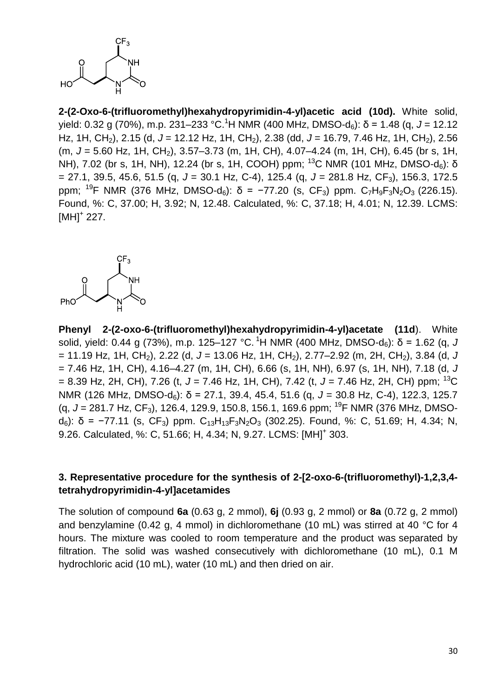

**2-(2-Oxo-6-(trifluoromethyl)hexahydropyrimidin-4-yl)acetic acid (10d).** White solid, yield: 0.32 g (70%), m.p. 231–233 °C. <sup>1</sup>H NMR (400 MHz, DMSO-d6): δ = 1.48 (q, *J* = 12.12 Hz, 1H, CH2), 2.15 (d, *J* = 12.12 Hz, 1H, CH2), 2.38 (dd, *J* = 16.79, 7.46 Hz, 1H, CH2), 2.56 (m, J = 5.60 Hz, 1H, CH<sub>2</sub>), 3.57–3.73 (m, 1H, CH), 4.07–4.24 (m, 1H, CH), 6.45 (br s, 1H, NH), 7.02 (br s, 1H, NH), 12.24 (br s, 1H, COOH) ppm; <sup>13</sup>C NMR (101 MHz, DMSO-d<sub>6</sub>): δ = 27.1, 39.5, 45.6, 51.5 (q, *J* = 30.1 Hz, C-4), 125.4 (q, *J* = 281.8 Hz, CF3), 156.3, 172.5 ppm; <sup>19</sup>F NMR (376 MHz, DMSO-d<sub>6</sub>): δ = −77.20 (s, CF<sub>3</sub>) ppm. C<sub>7</sub>H<sub>9</sub>F<sub>3</sub>N<sub>2</sub>O<sub>3</sub> (226.15). Found, %: C, 37.00; H, 3.92; N, 12.48. Calculated, %: C, 37.18; H, 4.01; N, 12.39. LCMS:  $[MH]$ <sup>+</sup> 227.



**Phenyl 2-(2-oxo-6-(trifluoromethyl)hexahydropyrimidin-4-yl)acetate (11d**). White solid, yield: 0.44 g (73%), m.p. 125–127 °C. <sup>1</sup>H NMR (400 MHz, DMSO-d<sub>6</sub>): δ = 1.62 (g, *J* = 11.19 Hz, 1H, CH2), 2.22 (d, *J* = 13.06 Hz, 1H, CH2), 2.77–2.92 (m, 2H, CH2), 3.84 (d, *J* = 7.46 Hz, 1H, CH), 4.16–4.27 (m, 1H, CH), 6.66 (s, 1H, NH), 6.97 (s, 1H, NH), 7.18 (d, *J* = 8.39 Hz, 2H, CH), 7.26 (t, *J* = 7.46 Hz, 1H, CH), 7.42 (t, *J* = 7.46 Hz, 2H, CH) ppm; <sup>13</sup>C NMR (126 MHz, DMSO-d<sub>6</sub>): δ = 27.1, 39.4, 45.4, 51.6 (g, *J* = 30.8 Hz, C-4), 122.3, 125.7 (g, J = 281.7 Hz, CF<sub>3</sub>), 126.4, 129.9, 150.8, 156.1, 169.6 ppm; <sup>19</sup>F NMR (376 MHz, DMSOd<sub>6</sub>): δ = −77.11 (s, CF<sub>3</sub>) ppm. C<sub>13</sub>H<sub>13</sub>F<sub>3</sub>N<sub>2</sub>O<sub>3</sub> (302.25). Found, %: C, 51.69; H, 4.34; N, 9.26. Calculated, %: C, 51.66; H, 4.34; N, 9.27. LCMS: [MH]<sup>+</sup> 303.

# **3. Representative procedure for the synthesis of 2-[2-oxo-6-(trifluoromethyl)-1,2,3,4 tetrahydropyrimidin-4-yl]acetamides**

The solution of compound **6a** (0.63 g, 2 mmol), **6j** (0.93 g, 2 mmol) or **8a** (0.72 g, 2 mmol) and benzylamine (0.42 g, 4 mmol) in dichloromethane (10 mL) was stirred at 40 °C for 4 hours. The mixture was cooled to room temperature and the product was separated by filtration. The solid was washed consecutively with dichloromethane (10 mL), 0.1 M hydrochloric acid (10 mL), water (10 mL) and then dried on air.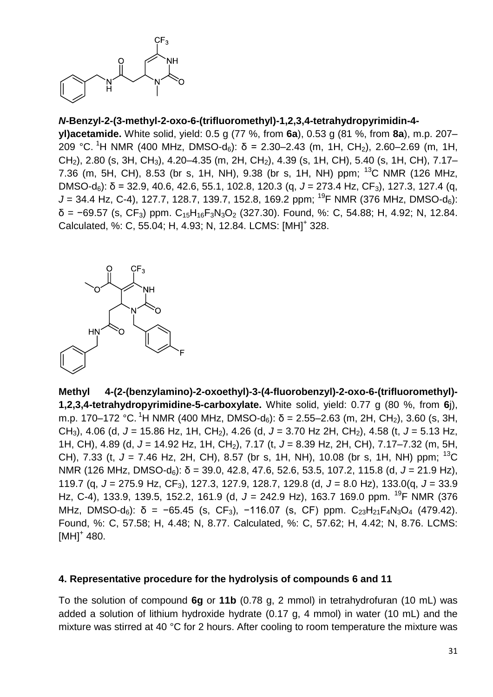

# *N***-Benzyl-2-(3-methyl-2-oxo-6-(trifluoromethyl)-1,2,3,4-tetrahydropyrimidin-4-**

**yl)acetamide.** White solid, yield: 0.5 g (77 %, from **6a**), 0.53 g (81 %, from **8a**), m.p. 207– 209 °C. <sup>1</sup>H NMR (400 MHz, DMSO-d<sub>6</sub>): δ = 2.30–2.43 (m, 1H, CH<sub>2</sub>), 2.60–2.69 (m, 1H, CH2), 2.80 (s, 3H, CH3), 4.20–4.35 (m, 2H, CH2), 4.39 (s, 1H, CH), 5.40 (s, 1H, CH), 7.17– 7.36 (m, 5H, CH), 8.53 (br s, 1H, NH), 9.38 (br s, 1H, NH) ppm;  $^{13}$ C NMR (126 MHz, DMSO-d<sub>6</sub>): δ = 32.9, 40.6, 42.6, 55.1, 102.8, 120.3 (q, *J* = 273.4 Hz, CF<sub>3</sub>), 127.3, 127.4 (q,  $J = 34.4$  Hz, C-4), 127.7, 128.7, 139.7, 152.8, 169.2 ppm; <sup>19</sup>F NMR (376 MHz, DMSO-d<sub>6</sub>):  $\delta$  = −69.57 (s, CF<sub>3</sub>) ppm. C<sub>15</sub>H<sub>16</sub>F<sub>3</sub>N<sub>3</sub>O<sub>2</sub> (327.30). Found, %: C, 54.88; H, 4.92; N, 12.84. Calculated, %: C, 55.04; H, 4.93; N, 12.84. LCMS: [MH]<sup>+</sup> 328.



**Methyl 4-(2-(benzylamino)-2-oxoethyl)-3-(4-fluorobenzyl)-2-oxo-6-(trifluoromethyl)- 1,2,3,4-tetrahydropyrimidine-5-carboxylate.** White solid, yield: 0.77 g (80 %, from **6**j), m.p. 170–172 °C. <sup>1</sup>H NMR (400 MHz, DMSO-d<sub>6</sub>): δ = 2.55–2.63 (m, 2H, CH<sub>2</sub>), 3.60 (s, 3H, CH<sub>3</sub>), 4.06 (d, J = 15.86 Hz, 1H, CH<sub>2</sub>), 4.26 (d, J = 3.70 Hz 2H, CH<sub>2</sub>), 4.58 (t, J = 5.13 Hz, 1H, CH), 4.89 (d, J = 14.92 Hz, 1H, CH<sub>2</sub>), 7.17 (t, J = 8.39 Hz, 2H, CH), 7.17–7.32 (m, 5H, CH), 7.33 (t,  $J = 7.46$  Hz, 2H, CH), 8.57 (br s, 1H, NH), 10.08 (br s, 1H, NH) ppm: <sup>13</sup>C NMR (126 MHz, DMSO-d6): δ = 39.0, 42.8, 47.6, 52.6, 53.5, 107.2, 115.8 (d, *J* = 21.9 Hz), 119.7 (q, *J* = 275.9 Hz, CF3), 127.3, 127.9, 128.7, 129.8 (d, *J* = 8.0 Hz), 133.0(q, *J* = 33.9 Hz, C-4), 133.9, 139.5, 152.2, 161.9 (d, J = 242.9 Hz), 163.7 169.0 ppm. <sup>19</sup>F NMR (376 MHz, DMSO-d<sub>6</sub>): δ = −65.45 (s, CF<sub>3</sub>), −116.07 (s, CF) ppm. C<sub>23</sub>H<sub>21</sub>F<sub>4</sub>N<sub>3</sub>O<sub>4</sub> (479.42). Found, %: C, 57.58; H, 4.48; N, 8.77. Calculated, %: C, 57.62; H, 4.42; N, 8.76. LCMS:  $[MH]^{+}$  480.

#### **4. Representative procedure for the hydrolysis of compounds 6 and 11**

To the solution of compound **6g** or **11b** (0.78 g, 2 mmol) in tetrahydrofuran (10 mL) was added a solution of lithium hydroxide hydrate (0.17 g, 4 mmol) in water (10 mL) and the mixture was stirred at 40 °C for 2 hours. After cooling to room temperature the mixture was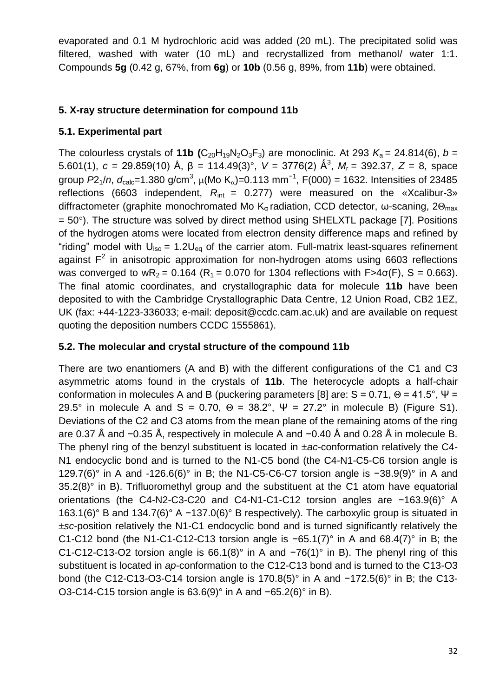evaporated and 0.1 M hydrochloric acid was added (20 mL). The precipitated solid was filtered, washed with water (10 mL) and recrystallized from methanol/ water 1:1. Compounds **5g** (0.42 g, 67%, from **6g**) or **10b** (0.56 g, 89%, from **11b**) were obtained.

# **5. X-ray structure determination for compound 11b**

# **5.1. Experimental part**

The colourless crystals of **11b**  $(C_{20}H_{19}N_2O_3F_3)$  are monoclinic. At 293  $K_9 = 24.814(6)$ ,  $b =$ 5.601(1), *c* = 29.859(10) Å, β = 114.49(3)°, *V* = 3776(2) Å<sup>3</sup>, *M*<sub>r</sub> = 392.37, *Z* = 8, space group *P*2<sub>1</sub>/n, d<sub>calc</sub>=1.380 g/cm<sup>3</sup>, μ(Mo K<sub>α</sub>)=0.113 mm<sup>-1</sup>, F(000) = 1632. Intensities of 23485 reflections (6603 independent,  $R_{\text{int}} = 0.277$ ) were measured on the «Xcalibur-3» diffractometer (graphite monochromated Mo Kα radiation, CCD detector, ω-scaning,  $2\Theta_{\text{max}}$  $= 50^{\circ}$ ). The structure was solved by direct method using SHELXTL package [7]. Positions of the hydrogen atoms were located from electron density difference maps and refined by "riding" model with  $U_{iso} = 1.2U_{eq}$  of the carrier atom. Full-matrix least-squares refinement against  $F^2$  in anisotropic approximation for non-hydrogen atoms using 6603 reflections was converged to  $wR_2 = 0.164$  (R<sub>1</sub> = 0.070 for 1304 reflections with F>4 $\sigma$ (F), S = 0.663). The final atomic coordinates, and crystallographic data for molecule **11b** have been deposited to with the Cambridge Crystallographic Data Centre, 12 Union Road, CB2 1EZ, UK (fax: +44-1223-336033; e-mail: deposit@ccdc.cam.ac.uk) and are available on request quoting the deposition numbers CCDC 1555861).

# **5.2. The molecular and crystal structure of the compound 11b**

There are two enantiomers (A and B) with the different configurations of the C1 and C3 asymmetric atoms found in the crystals of **11b**. The heterocycle adopts a half-chair conformation in molecules A and B (puckering parameters [8] are:  $S = 0.71$ ,  $\Theta = 41.5^{\circ}$ ,  $\Psi =$ 29.5° in molecule A and S = 0.70,  $\Theta = 38.2$ °,  $\Psi = 27.2$ ° in molecule B) (Figure S1). Deviations of the C2 and C3 atoms from the mean plane of the remaining atoms of the ring are 0.37 Å and −0.35 Å, respectively in molecule A and −0.40 Å and 0.28 Å in molecule B. The phenyl ring of the benzyl substituent is located in ±*ac*-conformation relatively the C4- N1 endocyclic bond and is turned to the N1-C5 bond (the C4-N1-C5-C6 torsion angle is 129.7(6)° in A and -126.6(6)° in B; the N1-C5-C6-C7 torsion angle is −38.9(9)° in A and 35.2(8)° in B). Trifluoromethyl group and the substituent at the C1 atom have equatorial orientations (the C4-N2-C3-C20 and C4-N1-C1-C12 torsion angles are −163.9(6)° A 163.1(6)° B and 134.7(6)° A −137.0(6)° B respectively). The carboxylic group is situated in ±*sc*-position relatively the N1-C1 endocyclic bond and is turned significantly relatively the C1-C12 bond (the N1-C1-C12-C13 torsion angle is −65.1(7)° in A and 68.4(7)° in B; the C1-C12-C13-O2 torsion angle is 66.1(8)° in A and −76(1)° in B). The phenyl ring of this substituent is located in *ap*-conformation to the C12-C13 bond and is turned to the C13-O3 bond (the C12-C13-O3-C14 torsion angle is 170.8(5)° in A and −172.5(6)° in B; the C13- O3-C14-C15 torsion angle is 63.6(9)° in A and −65.2(6)° in B).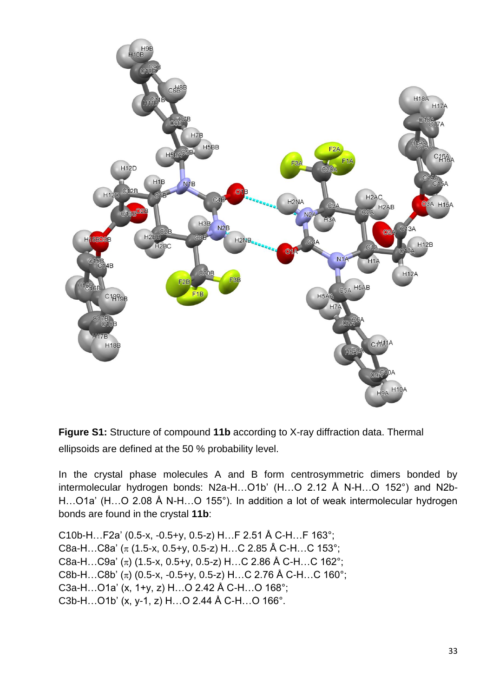

**Figure S1:** Structure of compound **11b** according to X-ray diffraction data. Thermal ellipsoids are defined at the 50 % probability level.

In the crystal phase molecules A and B form centrosymmetric dimers bonded by intermolecular hydrogen bonds: N2a-H…O1b' (H…O 2.12 Å N-H…O 152°) and N2b-H…O1a' (H…O 2.08 Å N-H…O 155°). In addition a lot of weak intermolecular hydrogen bonds are found in the crystal **11b**:

C10b-H…F2a' (0.5-x, -0.5+y, 0.5-z) H…F 2.51 Å C-H…F 163°; C8a-H...C8a' ( $\pi$  (1.5-x, 0.5+y, 0.5-z) H...C 2.85 Å C-H...C 153°; C8a-H…C9a'  $(\pi)$  (1.5-x, 0.5+y, 0.5-z) H…C 2.86 Å C-H…C 162°; C8b-H…C8b' ( $\pi$ ) (0.5-x, -0.5+y, 0.5-z) H…C 2.76 Å C-H…C 160°; C3a-H…O1a' (x, 1+y, z) H…O 2.42 Å C-H…O 168°; C3b-H…O1b' (x, y-1, z) H…O 2.44 Å C-H…O 166°.